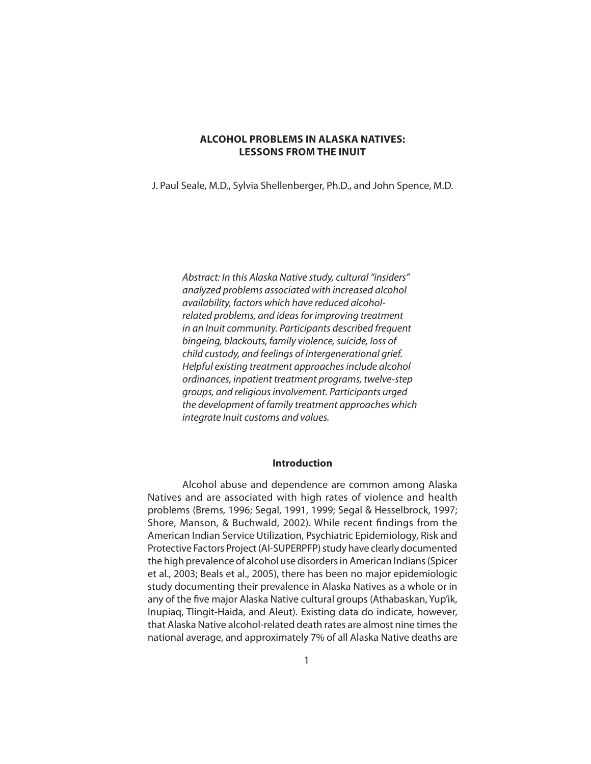# **ALCOHOL PROBLEMS IN ALASKA NATIVES: LESSONS FROM THE INUIT**

J. Paul Seale, M.D., Sylvia Shellenberger, Ph.D., and John Spence, M.D.

Abstract: In this Alaska Native study, cultural "insiders" analyzed problems associated with increased alcohol availability, factors which have reduced alcoholrelated problems, and ideas for improving treatment in an Inuit community. Participants described frequent bingeing, blackouts, family violence, suicide, loss of child custody, and feelings of intergenerational grief. Helpful existing treatment approaches include alcohol ordinances, inpatient treatment programs, twelve-step groups, and religious involvement. Participants urged the development of family treatment approaches which integrate Inuit customs and values.

## **Introduction**

Alcohol abuse and dependence are common among Alaska Natives and are associated with high rates of violence and health problems (Brems, 1996; Segal, 1991, 1999; Segal & Hesselbrock, 1997; Shore, Manson, & Buchwald, 2002). While recent findings from the American Indian Service Utilization, Psychiatric Epidemiology, Risk and Protective Factors Project (AI-SUPERPFP) study have clearly documented the high prevalence of alcohol use disorders in American Indians (Spicer et al., 2003; Beals et al., 2005), there has been no major epidemiologic study documenting their prevalence in Alaska Natives as a whole or in any of the five major Alaska Native cultural groups (Athabaskan, Yup'ik, Inupiaq, Tlingit-Haida, and Aleut). Existing data do indicate, however, that Alaska Native alcohol-related death rates are almost nine times the national average, and approximately 7% of all Alaska Native deaths are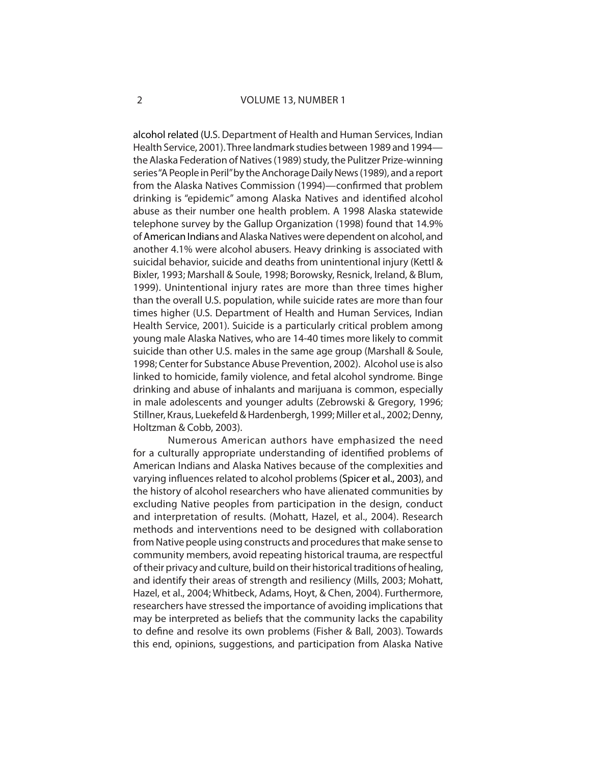alcohol related (U.S. Department of Health and Human Services, Indian Health Service, 2001). Three landmark studies between 1989 and 1994 the Alaska Federation of Natives (1989) study, the Pulitzer Prize-winning series "A People in Peril" by the Anchorage Daily News (1989), and a report from the Alaska Natives Commission (1994)—confirmed that problem drinking is "epidemic" among Alaska Natives and identified alcohol abuse as their number one health problem. A 1998 Alaska statewide telephone survey by the Gallup Organization (1998) found that 14.9% of American Indians and Alaska Natives were dependent on alcohol, and another 4.1% were alcohol abusers. Heavy drinking is associated with suicidal behavior, suicide and deaths from unintentional injury (Kettl & Bixler, 1993; Marshall & Soule, 1998; Borowsky, Resnick, Ireland, & Blum, 1999). Unintentional injury rates are more than three times higher than the overall U.S. population, while suicide rates are more than four times higher (U.S. Department of Health and Human Services, Indian Health Service, 2001). Suicide is a particularly critical problem among young male Alaska Natives, who are 14-40 times more likely to commit suicide than other U.S. males in the same age group (Marshall & Soule, 1998; Center for Substance Abuse Prevention, 2002). Alcohol use is also linked to homicide, family violence, and fetal alcohol syndrome. Binge drinking and abuse of inhalants and marijuana is common, especially in male adolescents and younger adults (Zebrowski & Gregory, 1996; Stillner, Kraus, Luekefeld & Hardenbergh, 1999; Miller et al., 2002; Denny, Holtzman & Cobb, 2003).

Numerous American authors have emphasized the need for a culturally appropriate understanding of identified problems of American Indians and Alaska Natives because of the complexities and varying influences related to alcohol problems (Spicer et al., 2003), and the history of alcohol researchers who have alienated communities by excluding Native peoples from participation in the design, conduct and interpretation of results. (Mohatt, Hazel, et al., 2004). Research methods and interventions need to be designed with collaboration from Native people using constructs and procedures that make sense to community members, avoid repeating historical trauma, are respectful of their privacy and culture, build on their historical traditions of healing, and identify their areas of strength and resiliency (Mills, 2003; Mohatt, Hazel, et al., 2004; Whitbeck, Adams, Hoyt, & Chen, 2004). Furthermore, researchers have stressed the importance of avoiding implications that may be interpreted as beliefs that the community lacks the capability to define and resolve its own problems (Fisher & Ball, 2003). Towards this end, opinions, suggestions, and participation from Alaska Native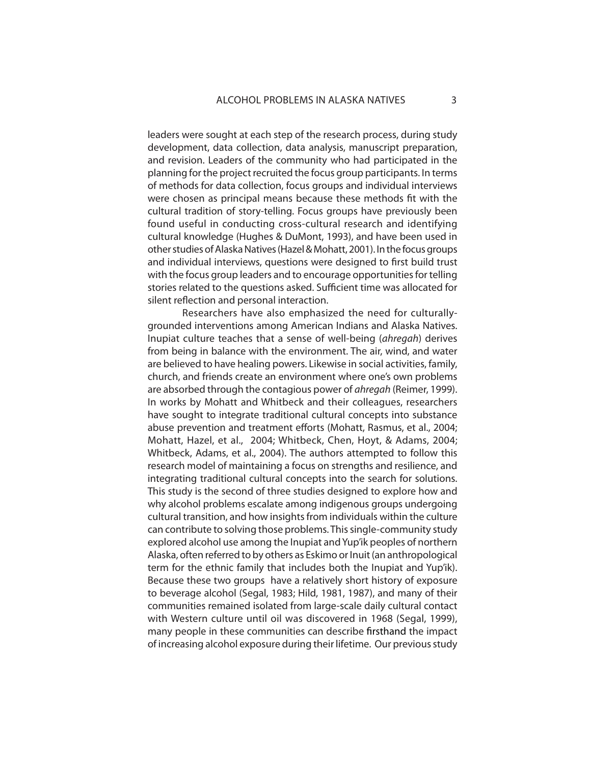leaders were sought at each step of the research process, during study development, data collection, data analysis, manuscript preparation, and revision. Leaders of the community who had participated in the planning for the project recruited the focus group participants. In terms of methods for data collection, focus groups and individual interviews were chosen as principal means because these methods fit with the cultural tradition of story-telling. Focus groups have previously been found useful in conducting cross-cultural research and identifying cultural knowledge (Hughes & DuMont, 1993), and have been used in other studies of Alaska Natives (Hazel & Mohatt, 2001). In the focus groups and individual interviews, questions were designed to first build trust with the focus group leaders and to encourage opportunities for telling stories related to the questions asked. Sufficient time was allocated for silent reflection and personal interaction.

Researchers have also emphasized the need for culturallygrounded interventions among American Indians and Alaska Natives. Inupiat culture teaches that a sense of well-being (ahregah) derives from being in balance with the environment. The air, wind, and water are believed to have healing powers. Likewise in social activities, family, church, and friends create an environment where one's own problems are absorbed through the contagious power of *ahregah* (Reimer, 1999). In works by Mohatt and Whitbeck and their colleagues, researchers have sought to integrate traditional cultural concepts into substance abuse prevention and treatment efforts (Mohatt, Rasmus, et al., 2004; Mohatt, Hazel, et al., 2004; Whitbeck, Chen, Hoyt, & Adams, 2004; Whitbeck, Adams, et al., 2004). The authors attempted to follow this research model of maintaining a focus on strengths and resilience, and integrating traditional cultural concepts into the search for solutions. This study is the second of three studies designed to explore how and why alcohol problems escalate among indigenous groups undergoing cultural transition, and how insights from individuals within the culture can contribute to solving those problems. This single-community study explored alcohol use among the Inupiat and Yup'ik peoples of northern Alaska, often referred to by others as Eskimo or Inuit (an anthropological term for the ethnic family that includes both the Inupiat and Yup'ik). Because these two groups have a relatively short history of exposure to beverage alcohol (Segal, 1983; Hild, 1981, 1987), and many of their communities remained isolated from large-scale daily cultural contact with Western culture until oil was discovered in 1968 (Segal, 1999), many people in these communities can describe firsthand the impact of increasing alcohol exposure during their lifetime. Our previous study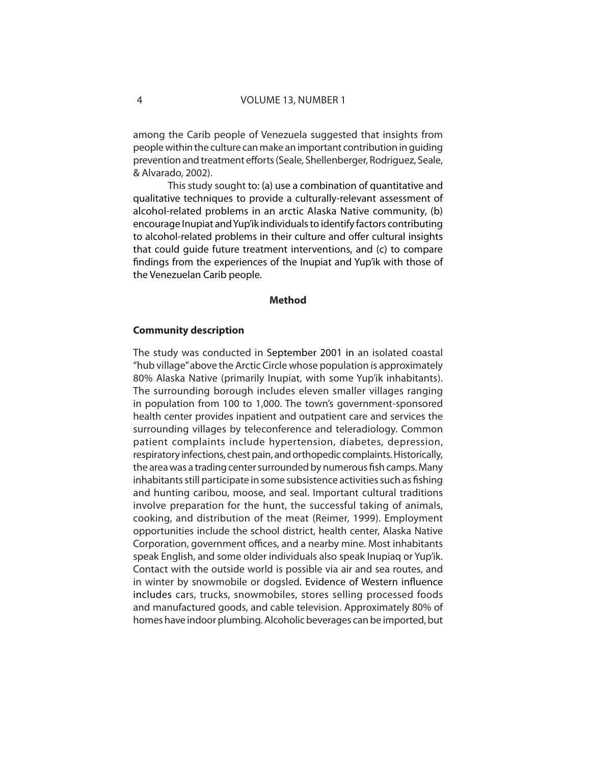among the Carib people of Venezuela suggested that insights from people within the culture can make an important contribution in guiding prevention and treatment efforts (Seale, Shellenberger, Rodriguez, Seale, & Alvarado, 2002).

This study sought to: (a) use a combination of quantitative and qualitative techniques to provide a culturally-relevant assessment of alcohol-related problems in an arctic Alaska Native community, (b) encourage Inupiat and Yup'ik individuals to identify factors contributing to alcohol-related problems in their culture and offer cultural insights that could guide future treatment interventions, and (c) to compare findings from the experiences of the Inupiat and Yup'ik with those of the Venezuelan Carib people.

#### **Method**

## **Community description**

The study was conducted in September 2001 in an isolated coastal "hub village" above the Arctic Circle whose population is approximately 80% Alaska Native (primarily Inupiat, with some Yup'ik inhabitants). The surrounding borough includes eleven smaller villages ranging in population from 100 to 1,000. The town's government-sponsored health center provides inpatient and outpatient care and services the surrounding villages by teleconference and teleradiology. Common patient complaints include hypertension, diabetes, depression, respiratory infections, chest pain, and orthopedic complaints. Historically, the area was a trading center surrounded by numerous fish camps. Many inhabitants still participate in some subsistence activities such as fishing and hunting caribou, moose, and seal. Important cultural traditions involve preparation for the hunt, the successful taking of animals, cooking, and distribution of the meat (Reimer, 1999). Employment opportunities include the school district, health center, Alaska Native Corporation, government offices, and a nearby mine. Most inhabitants speak English, and some older individuals also speak Inupiaq or Yup'ik. Contact with the outside world is possible via air and sea routes, and in winter by snowmobile or dogsled. Evidence of Western influence includes cars, trucks, snowmobiles, stores selling processed foods and manufactured goods, and cable television. Approximately 80% of homes have indoor plumbing. Alcoholic beverages can be imported, but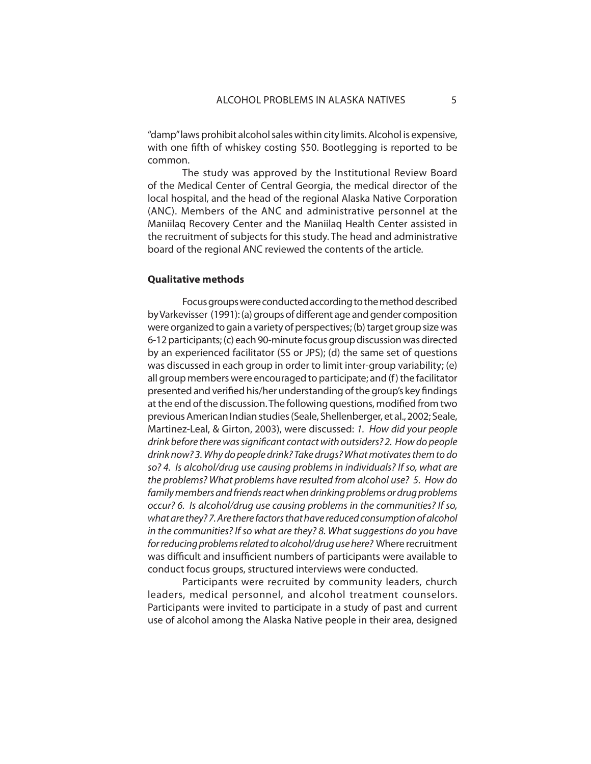"damp" laws prohibit alcohol sales within city limits. Alcohol is expensive, with one fifth of whiskey costing \$50. Bootlegging is reported to be common.

The study was approved by the Institutional Review Board of the Medical Center of Central Georgia, the medical director of the local hospital, and the head of the regional Alaska Native Corporation (ANC). Members of the ANC and administrative personnel at the Maniilaq Recovery Center and the Maniilaq Health Center assisted in the recruitment of subjects for this study. The head and administrative board of the regional ANC reviewed the contents of the article.

# **Qualitative methods**

Focus groups were conducted according to the method described by Varkevisser (1991): (a) groups of different age and gender composition were organized to gain a variety of perspectives; (b) target group size was 6-12 participants; (c) each 90-minute focus group discussion was directed by an experienced facilitator (SS or JPS); (d) the same set of questions was discussed in each group in order to limit inter-group variability; (e) all group members were encouraged to participate; and (f) the facilitator presented and verified his/her understanding of the group's key findings at the end of the discussion. The following questions, modified from two previous American Indian studies (Seale, Shellenberger, et al.,2002; Seale, Martinez-Leal, & Girton, 2003), were discussed: 1. How did your people drink before there was significant contact with outsiders? 2. How do people drink now? 3. Why do people drink? Take drugs? What motivates them to do so? 4. Is alcohol/drug use causing problems in individuals? If so, what are the problems? What problems have resulted from alcohol use? 5. How do family members and friends react when drinking problems or drug problems occur? 6. Is alcohol/drug use causing problems in the communities? If so, what are they? 7. Are there factors that have reduced consumption of alcohol in the communities? If so what are they? 8. What suggestions do you have for reducing problems related to alcohol/drug use here? Where recruitment was difficult and insufficient numbers of participants were available to conduct focus groups, structured interviews were conducted.

Participants were recruited by community leaders, church leaders, medical personnel, and alcohol treatment counselors. Participants were invited to participate in a study of past and current use of alcohol among the Alaska Native people in their area, designed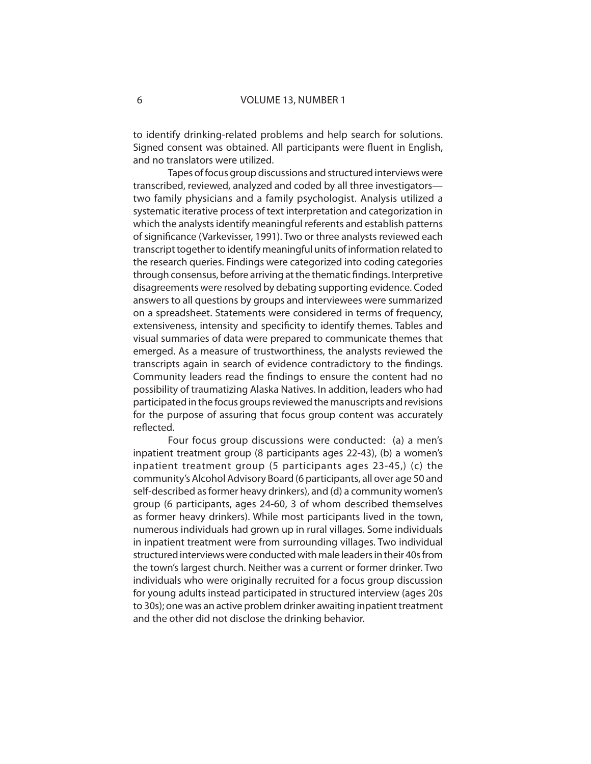to identify drinking-related problems and help search for solutions. Signed consent was obtained. All participants were fluent in English, and no translators were utilized.

Tapes of focus group discussions and structured interviews were transcribed, reviewed, analyzed and coded by all three investigators two family physicians and a family psychologist. Analysis utilized a systematic iterative process of text interpretation and categorization in which the analysts identify meaningful referents and establish patterns of significance (Varkevisser, 1991). Two or three analysts reviewed each transcript together to identify meaningful units of information related to the research queries. Findings were categorized into coding categories through consensus, before arriving at the thematic findings. Interpretive disagreements were resolved by debating supporting evidence. Coded answers to all questions by groups and interviewees were summarized on a spreadsheet. Statements were considered in terms of frequency, extensiveness, intensity and specificity to identify themes. Tables and visual summaries of data were prepared to communicate themes that emerged. As a measure of trustworthiness, the analysts reviewed the transcripts again in search of evidence contradictory to the findings. Community leaders read the findings to ensure the content had no possibility of traumatizing Alaska Natives. In addition, leaders who had participated in the focus groups reviewed the manuscripts and revisions for the purpose of assuring that focus group content was accurately reflected.

Four focus group discussions were conducted: (a) a men's inpatient treatment group (8 participants ages 22-43), (b) a women's inpatient treatment group (5 participants ages 23-45,) (c) the community's Alcohol Advisory Board (6 participants, all over age 50 and self-described as former heavy drinkers), and (d) a community women's group (6 participants, ages 24-60, 3 of whom described themselves as former heavy drinkers). While most participants lived in the town, numerous individuals had grown up in rural villages. Some individuals in inpatient treatment were from surrounding villages. Two individual structured interviews were conducted with male leaders in their 40s from the town's largest church. Neither was a current or former drinker. Two individuals who were originally recruited for a focus group discussion for young adults instead participated in structured interview (ages 20s to 30s); one was an active problem drinker awaiting inpatient treatment and the other did not disclose the drinking behavior.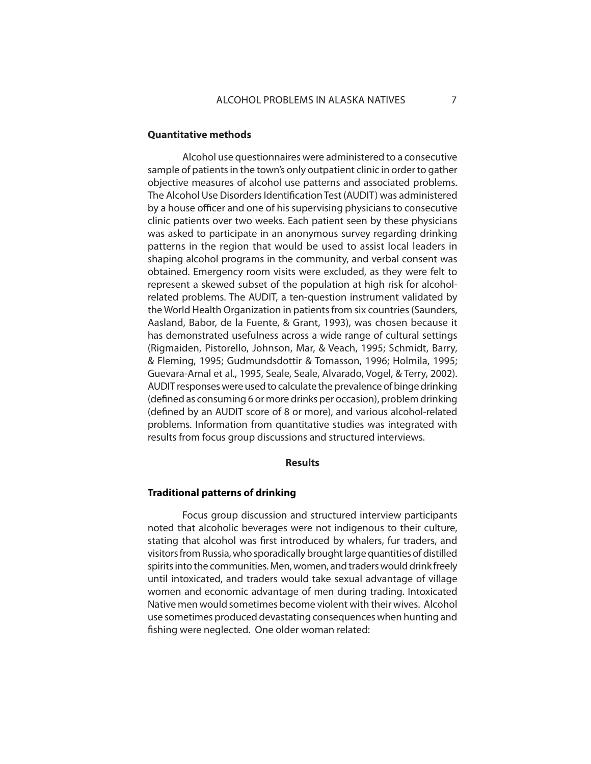## **Quantitative methods**

Alcohol use questionnaires were administered to a consecutive sample of patients in the town's only outpatient clinic in order to gather objective measures of alcohol use patterns and associated problems. The Alcohol Use Disorders Identification Test (AUDIT) was administered by a house officer and one of his supervising physicians to consecutive clinic patients over two weeks. Each patient seen by these physicians was asked to participate in an anonymous survey regarding drinking patterns in the region that would be used to assist local leaders in shaping alcohol programs in the community, and verbal consent was obtained. Emergency room visits were excluded, as they were felt to represent a skewed subset of the population at high risk for alcoholrelated problems. The AUDIT, a ten-question instrument validated by the World Health Organization in patients from six countries (Saunders, Aasland, Babor, de la Fuente, & Grant, 1993), was chosen because it has demonstrated usefulness across a wide range of cultural settings (Rigmaiden, Pistorello, Johnson, Mar, & Veach, 1995; Schmidt, Barry, & Fleming, 1995; Gudmundsdottir & Tomasson, 1996; Holmila, 1995; Guevara-Arnal et al., 1995, Seale, Seale, Alvarado, Vogel, & Terry, 2002). AUDIT responses were used to calculate the prevalence of binge drinking (defined as consuming 6 or more drinks per occasion), problem drinking (defined by an AUDIT score of 8 or more), and various alcohol-related problems. Information from quantitative studies was integrated with results from focus group discussions and structured interviews.

## **Results**

# **Traditional patterns of drinking**

Focus group discussion and structured interview participants noted that alcoholic beverages were not indigenous to their culture, stating that alcohol was first introduced by whalers, fur traders, and visitors from Russia, who sporadically brought large quantities of distilled spirits into the communities. Men, women, and traders would drink freely until intoxicated, and traders would take sexual advantage of village women and economic advantage of men during trading. Intoxicated Native men would sometimes become violent with their wives. Alcohol use sometimes produced devastating consequences when hunting and fishing were neglected. One older woman related: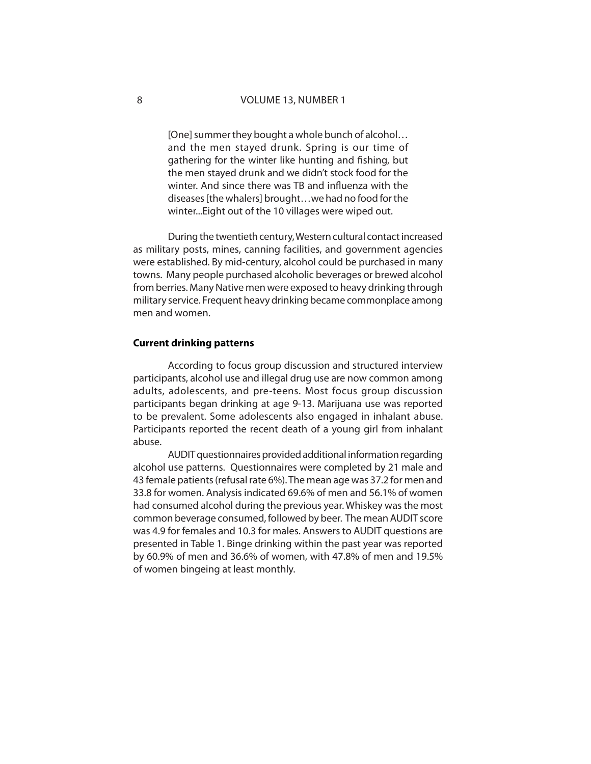[One] summer they bought a whole bunch of alcohol… and the men stayed drunk. Spring is our time of gathering for the winter like hunting and fishing, but the men stayed drunk and we didn't stock food for the winter. And since there was TB and influenza with the diseases [the whalers] brought…we had no food for the winter...Eight out of the 10 villages were wiped out.

During the twentieth century, Western cultural contact increased as military posts, mines, canning facilities, and government agencies were established. By mid-century, alcohol could be purchased in many towns. Many people purchased alcoholic beverages or brewed alcohol from berries. Many Native men were exposed to heavy drinking through military service. Frequent heavy drinking became commonplace among men and women.

## **Current drinking patterns**

According to focus group discussion and structured interview participants, alcohol use and illegal drug use are now common among adults, adolescents, and pre-teens. Most focus group discussion participants began drinking at age 9-13. Marijuana use was reported to be prevalent. Some adolescents also engaged in inhalant abuse. Participants reported the recent death of a young girl from inhalant abuse.

AUDIT questionnaires provided additional information regarding alcohol use patterns. Questionnaires were completed by 21 male and 43 female patients (refusal rate 6%). The mean age was 37.2 for men and 33.8 for women. Analysis indicated 69.6% of men and 56.1% of women had consumed alcohol during the previous year. Whiskey was the most common beverage consumed, followed by beer. The mean AUDIT score was 4.9 for females and 10.3 for males. Answers to AUDIT questions are presented in Table 1. Binge drinking within the past year was reported by 60.9% of men and 36.6% of women, with 47.8% of men and 19.5% of women bingeing at least monthly.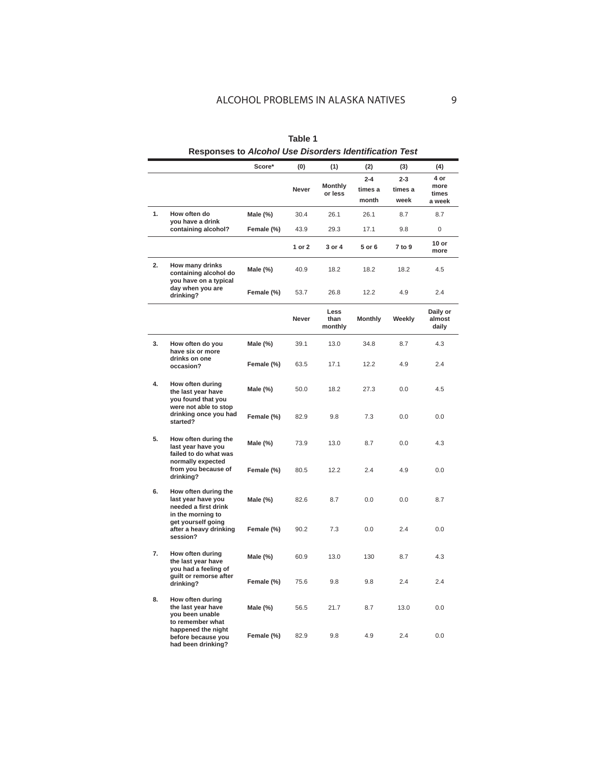|    |                                                                                          | Score*     | (0)          | (1)                       | (2)                         | (3)                        | (4)                             |
|----|------------------------------------------------------------------------------------------|------------|--------------|---------------------------|-----------------------------|----------------------------|---------------------------------|
|    |                                                                                          |            | <b>Never</b> | <b>Monthly</b><br>or less | $2 - 4$<br>times a<br>month | $2 - 3$<br>times a<br>week | 4 or<br>more<br>times<br>a week |
| 1. | How often do                                                                             | Male (%)   | 30.4         | 26.1                      | 26.1                        | 8.7                        | 8.7                             |
|    | you have a drink<br>containing alcohol?                                                  | Female (%) | 43.9         | 29.3                      | 17.1                        | 9.8                        | $\mathbf 0$                     |
|    |                                                                                          |            | 1 or 2       | 3 or 4                    | 5 or 6                      | 7 to 9                     | 10 or<br>more                   |
| 2. | How many drinks<br>containing alcohol do<br>you have on a typical                        | Male (%)   | 40.9         | 18.2                      | 18.2                        | 18.2                       | 4.5                             |
|    | day when you are<br>drinking?                                                            | Female (%) | 53.7         | 26.8                      | 12.2                        | 4.9                        | 2.4                             |
|    |                                                                                          |            | <b>Never</b> | Less<br>than<br>monthly   | Monthly                     | Weekly                     | Daily or<br>almost<br>daily     |
| 3. | How often do you<br>have six or more                                                     | Male (%)   | 39.1         | 13.0                      | 34.8                        | 8.7                        | 4.3                             |
|    | drinks on one<br>occasion?                                                               | Female (%) | 63.5         | 17.1                      | 12.2                        | 4.9                        | 2.4                             |
| 4. | How often during<br>the last year have<br>you found that you<br>were not able to stop    | Male (%)   | 50.0         | 18.2                      | 27.3                        | 0.0                        | 4.5                             |
|    | drinking once you had<br>started?                                                        | Female (%) | 82.9         | 9.8                       | 7.3                         | 0.0                        | 0.0                             |
| 5. | How often during the<br>last year have you<br>failed to do what was<br>normally expected | Male (%)   | 73.9         | 13.0                      | 8.7                         | 0.0                        | 4.3                             |
|    | from you because of<br>drinking?                                                         | Female (%) | 80.5         | 12.2                      | 2.4                         | 4.9                        | 0.0                             |
| 6. | How often during the<br>last year have you<br>needed a first drink<br>in the morning to  | Male (%)   | 82.6         | 8.7                       | 0.0                         | 0.0                        | 8.7                             |
|    | get yourself going<br>after a heavy drinking<br>session?                                 | Female (%) | 90.2         | 7.3                       | 0.0                         | 2.4                        | 0.0                             |
| 7. | How often during<br>the last year have<br>you had a feeling of                           | Male (%)   | 60.9         | 13.0                      | 130                         | 8.7                        | 4.3                             |
|    | guilt or remorse after<br>drinking?                                                      | Female (%) | 75.6         | 9.8                       | 9.8                         | 2.4                        | 2.4                             |
| 8. | How often during<br>the last year have<br>you been unable<br>to remember what            | Male (%)   | 56.5         | 21.7                      | 8.7                         | 13.0                       | 0.0                             |
|    | happened the night<br>before because you<br>had been drinking?                           | Female (%) | 82.9         | 9.8                       | 4.9                         | 2.4                        | 0.0                             |

**Table 1 Responses to** *Alcohol Use Disorders Identifi cation Test*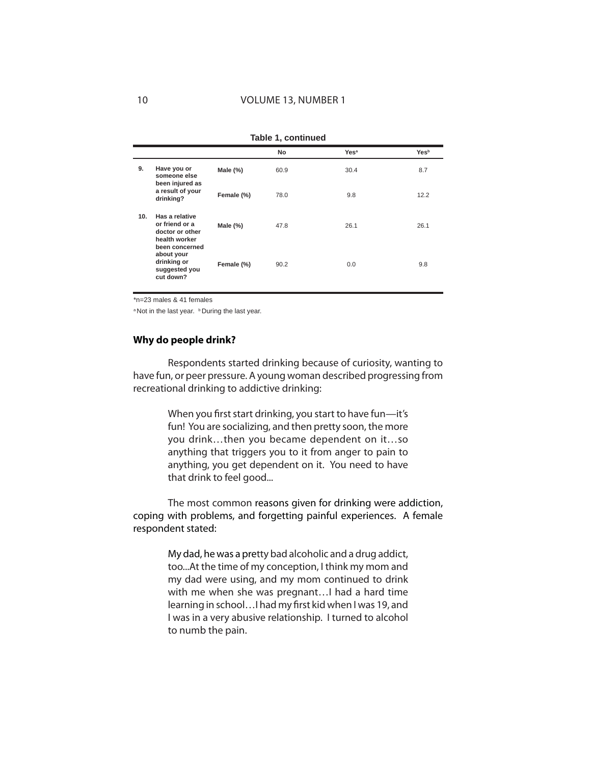| Table 1, continued |                                                                                                                                                   |             |           |                  |                  |
|--------------------|---------------------------------------------------------------------------------------------------------------------------------------------------|-------------|-----------|------------------|------------------|
|                    |                                                                                                                                                   |             | <b>No</b> | Yes <sup>a</sup> | Yes <sup>b</sup> |
| 9.                 | Have you or<br>someone else<br>been injured as<br>a result of your<br>drinking?                                                                   | Male $(\%)$ | 60.9      | 30.4             | 8.7              |
|                    |                                                                                                                                                   | Female (%)  | 78.0      | 9.8              | 12.2             |
| 10.                | Has a relative<br>or friend or a<br>doctor or other<br>health worker<br>been concerned<br>about your<br>drinking or<br>suggested you<br>cut down? | Male $(\%)$ | 47.8      | 26.1             | 26.1             |
|                    |                                                                                                                                                   | Female (%)  | 90.2      | 0.0              | 9.8              |

\*n=23 males & 41 females

a Not in the last year. b During the last year.

## **Why do people drink?**

Respondents started drinking because of curiosity, wanting to have fun, or peer pressure. A young woman described progressing from recreational drinking to addictive drinking:

> When you first start drinking, you start to have fun-it's fun! You are socializing, and then pretty soon, the more you drink…then you became dependent on it…so anything that triggers you to it from anger to pain to anything, you get dependent on it. You need to have that drink to feel good...

The most common reasons given for drinking were addiction, coping with problems, and forgetting painful experiences. A female respondent stated:

> My dad, he was a pretty bad alcoholic and a drug addict, too...At the time of my conception, I think my mom and my dad were using, and my mom continued to drink with me when she was pregnant…I had a hard time learning in school... I had my first kid when I was 19, and I was in a very abusive relationship. I turned to alcohol to numb the pain.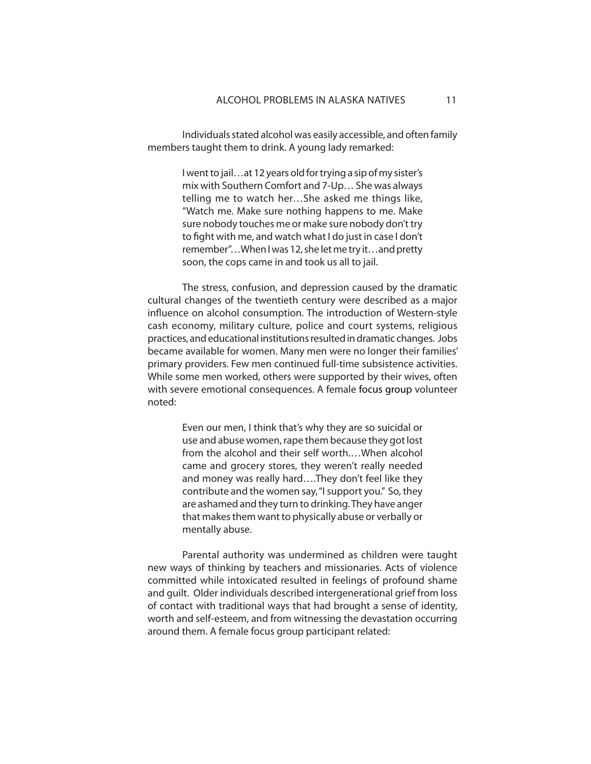Individuals stated alcohol was easily accessible, and often family members taught them to drink. A young lady remarked:

> I went to jail…at 12 years old for trying a sip of my sister's mix with Southern Comfort and 7-Up… She was always telling me to watch her…She asked me things like, "Watch me. Make sure nothing happens to me. Make sure nobody touches me or make sure nobody don't try to fight with me, and watch what I do just in case I don't remember"…When I was 12, she let me try it…and pretty soon, the cops came in and took us all to jail.

The stress, confusion, and depression caused by the dramatic cultural changes of the twentieth century were described as a major influence on alcohol consumption. The introduction of Western-style cash economy, military culture, police and court systems, religious practices, and educational institutions resulted in dramatic changes. Jobs became available for women. Many men were no longer their families' primary providers. Few men continued full-time subsistence activities. While some men worked, others were supported by their wives, often with severe emotional consequences. A female focus group volunteer noted:

> Even our men, I think that's why they are so suicidal or use and abuse women, rape them because they got lost from the alcohol and their self worth.…When alcohol came and grocery stores, they weren't really needed and money was really hard….They don't feel like they contribute and the women say, "I support you." So, they are ashamed and they turn to drinking. They have anger that makes them want to physically abuse or verbally or mentally abuse.

Parental authority was undermined as children were taught new ways of thinking by teachers and missionaries. Acts of violence committed while intoxicated resulted in feelings of profound shame and guilt. Older individuals described intergenerational grief from loss of contact with traditional ways that had brought a sense of identity, worth and self-esteem, and from witnessing the devastation occurring around them. A female focus group participant related: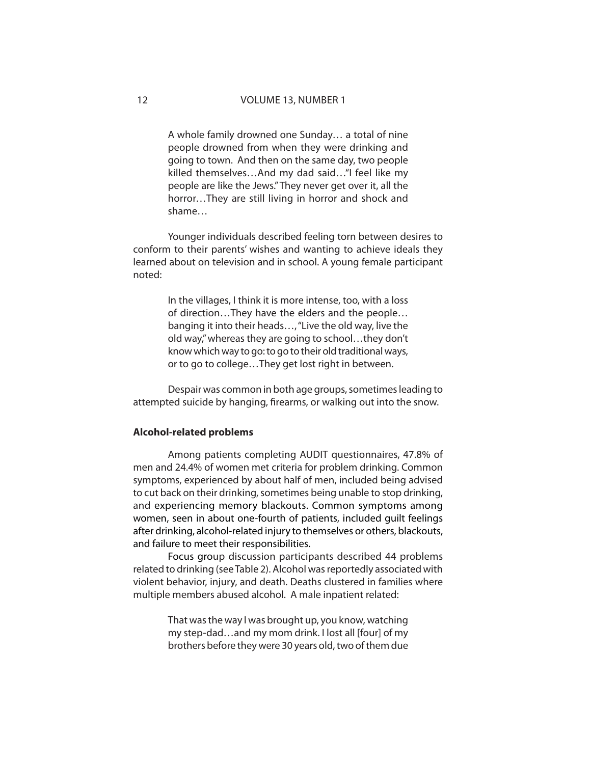A whole family drowned one Sunday… a total of nine people drowned from when they were drinking and going to town. And then on the same day, two people killed themselves…And my dad said…"I feel like my people are like the Jews." They never get over it, all the horror…They are still living in horror and shock and shame…

Younger individuals described feeling torn between desires to conform to their parents' wishes and wanting to achieve ideals they learned about on television and in school. A young female participant noted:

> In the villages, I think it is more intense, too, with a loss of direction…They have the elders and the people… banging it into their heads…, "Live the old way, live the old way," whereas they are going to school…they don't know which way to go: to go to their old traditional ways, or to go to college…They get lost right in between.

Despair was common in both age groups, sometimes leading to attempted suicide by hanging, firearms, or walking out into the snow.

## **Alcohol-related problems**

Among patients completing AUDIT questionnaires, 47.8% of men and 24.4% of women met criteria for problem drinking. Common symptoms, experienced by about half of men, included being advised to cut back on their drinking, sometimes being unable to stop drinking, and experiencing memory blackouts. Common symptoms among women, seen in about one-fourth of patients, included guilt feelings after drinking, alcohol-related injury to themselves or others, blackouts, and failure to meet their responsibilities.

Focus group discussion participants described 44 problems related to drinking (see Table 2). Alcohol was reportedly associated with violent behavior, injury, and death. Deaths clustered in families where multiple members abused alcohol. A male inpatient related:

> That was the way I was brought up, you know, watching my step-dad…and my mom drink. I lost all [four] of my brothers before they were 30 years old, two of them due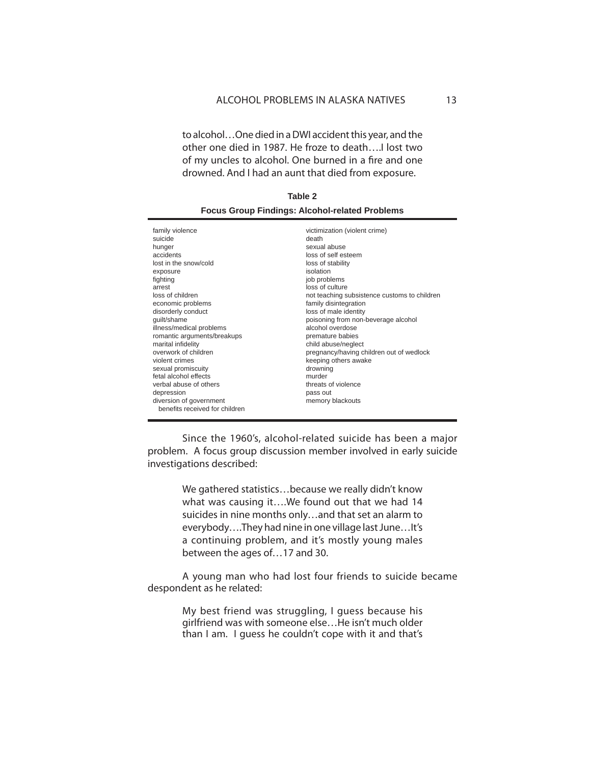to alcohol…One died in a DWI accident this year, and the other one died in 1987. He froze to death….I lost two of my uncles to alcohol. One burned in a fire and one drowned. And I had an aunt that died from exposure.

| Table 2                                               |
|-------------------------------------------------------|
| <b>Focus Group Findings: Alcohol-related Problems</b> |

| family violence<br>suicide<br>hunger<br>accidents<br>lost in the snow/cold<br>exposure<br>fighting<br>arrest<br>loss of children<br>economic problems<br>disorderly conduct<br>quilt/shame<br>illness/medical problems<br>romantic arguments/breakups<br>marital infidelity<br>overwork of children<br>violent crimes<br>sexual promiscuity<br>fetal alcohol effects<br>verbal abuse of others | victimization (violent crime)<br>death<br>sexual abuse<br>loss of self esteem<br>loss of stability<br>isolation<br>job problems<br>loss of culture<br>not teaching subsistence customs to children<br>family disintegration<br>loss of male identity<br>poisoning from non-beverage alcohol<br>alcohol overdose<br>premature babies<br>child abuse/neglect<br>pregnancy/having children out of wedlock<br>keeping others awake<br>drowning<br>murder<br>threats of violence |
|------------------------------------------------------------------------------------------------------------------------------------------------------------------------------------------------------------------------------------------------------------------------------------------------------------------------------------------------------------------------------------------------|-----------------------------------------------------------------------------------------------------------------------------------------------------------------------------------------------------------------------------------------------------------------------------------------------------------------------------------------------------------------------------------------------------------------------------------------------------------------------------|
|                                                                                                                                                                                                                                                                                                                                                                                                |                                                                                                                                                                                                                                                                                                                                                                                                                                                                             |
|                                                                                                                                                                                                                                                                                                                                                                                                |                                                                                                                                                                                                                                                                                                                                                                                                                                                                             |
|                                                                                                                                                                                                                                                                                                                                                                                                |                                                                                                                                                                                                                                                                                                                                                                                                                                                                             |
|                                                                                                                                                                                                                                                                                                                                                                                                |                                                                                                                                                                                                                                                                                                                                                                                                                                                                             |
| depression<br>diversion of government<br>benefits received for children                                                                                                                                                                                                                                                                                                                        | pass out<br>memory blackouts                                                                                                                                                                                                                                                                                                                                                                                                                                                |

Since the 1960's, alcohol-related suicide has been a major problem. A focus group discussion member involved in early suicide investigations described:

> We gathered statistics…because we really didn't know what was causing it….We found out that we had 14 suicides in nine months only…and that set an alarm to everybody….They had nine in one village last June…It's a continuing problem, and it's mostly young males between the ages of…17 and 30.

A young man who had lost four friends to suicide became despondent as he related:

> My best friend was struggling, I guess because his girlfriend was with someone else…He isn't much older than I am. I guess he couldn't cope with it and that's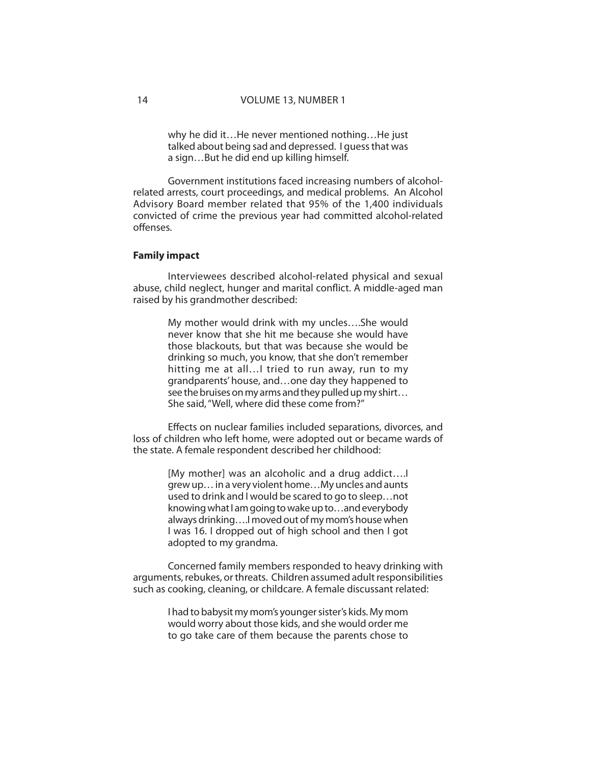why he did it…He never mentioned nothing…He just talked about being sad and depressed. I guess that was a sign…But he did end up killing himself.

Government institutions faced increasing numbers of alcoholrelated arrests, court proceedings, and medical problems. An Alcohol Advisory Board member related that 95% of the 1,400 individuals convicted of crime the previous year had committed alcohol-related offenses.

### **Family impact**

Interviewees described alcohol-related physical and sexual abuse, child neglect, hunger and marital conflict. A middle-aged man raised by his grandmother described:

> My mother would drink with my uncles….She would never know that she hit me because she would have those blackouts, but that was because she would be drinking so much, you know, that she don't remember hitting me at all…I tried to run away, run to my grandparents' house, and…one day they happened to see the bruises on my arms and they pulled up my shirt… She said, "Well, where did these come from?"

Effects on nuclear families included separations, divorces, and loss of children who left home, were adopted out or became wards of the state. A female respondent described her childhood:

> [My mother] was an alcoholic and a drug addict….I grew up… in a very violent home…My uncles and aunts used to drink and I would be scared to go to sleep…not knowing what I am going to wake up to…and everybody always drinking….I moved out of my mom's house when I was 16. I dropped out of high school and then I got adopted to my grandma.

Concerned family members responded to heavy drinking with arguments, rebukes, or threats. Children assumed adult responsibilities such as cooking, cleaning, or childcare. A female discussant related:

> I had to babysit my mom's younger sister's kids. My mom would worry about those kids, and she would order me to go take care of them because the parents chose to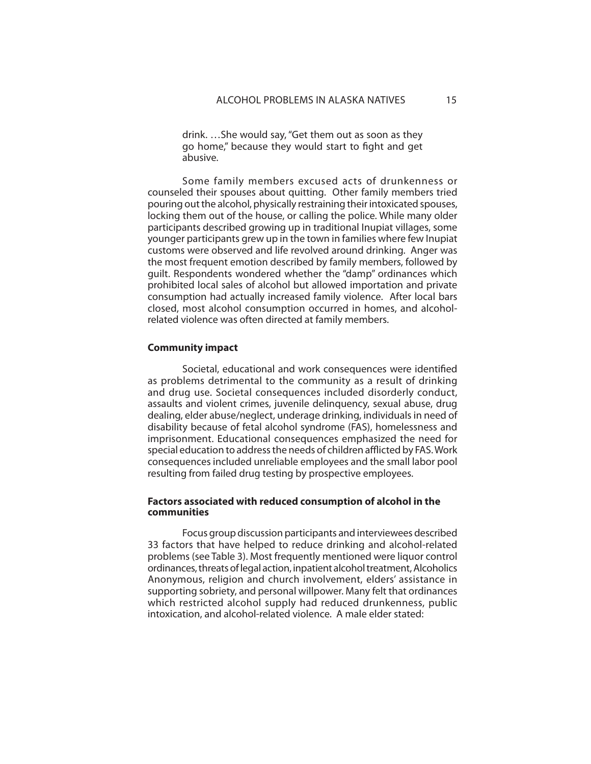drink. …She would say, "Get them out as soon as they go home," because they would start to fight and get abusive.

Some family members excused acts of drunkenness or counseled their spouses about quitting. Other family members tried pouring out the alcohol, physically restraining their intoxicated spouses, locking them out of the house, or calling the police. While many older participants described growing up in traditional Inupiat villages, some younger participants grew up in the town in families where few Inupiat customs were observed and life revolved around drinking. Anger was the most frequent emotion described by family members, followed by guilt. Respondents wondered whether the "damp" ordinances which prohibited local sales of alcohol but allowed importation and private consumption had actually increased family violence. After local bars closed, most alcohol consumption occurred in homes, and alcoholrelated violence was often directed at family members.

## **Community impact**

Societal, educational and work consequences were identified as problems detrimental to the community as a result of drinking and drug use. Societal consequences included disorderly conduct, assaults and violent crimes, juvenile delinquency, sexual abuse, drug dealing, elder abuse/neglect, underage drinking, individuals in need of disability because of fetal alcohol syndrome (FAS), homelessness and imprisonment. Educational consequences emphasized the need for special education to address the needs of children afflicted by FAS. Work consequences included unreliable employees and the small labor pool resulting from failed drug testing by prospective employees.

## **Factors associated with reduced consumption of alcohol in the communities**

Focus group discussion participants and interviewees described 33 factors that have helped to reduce drinking and alcohol-related problems (see Table 3). Most frequently mentioned were liquor control ordinances, threats of legal action, inpatient alcohol treatment, Alcoholics Anonymous, religion and church involvement, elders' assistance in supporting sobriety, and personal willpower. Many felt that ordinances which restricted alcohol supply had reduced drunkenness, public intoxication, and alcohol-related violence. A male elder stated: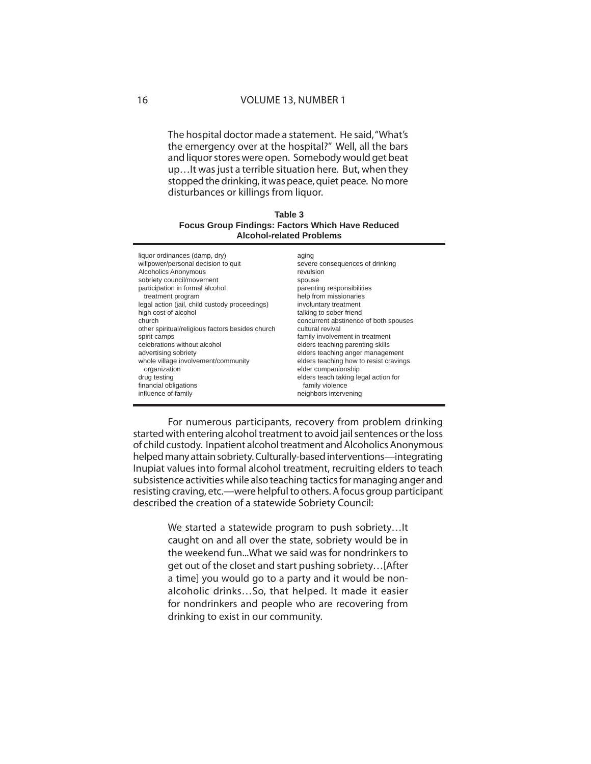The hospital doctor made a statement. He said, "What's the emergency over at the hospital?" Well, all the bars and liquor stores were open. Somebody would get beat up…It was just a terrible situation here. But, when they stopped the drinking, it was peace, quiet peace. No more disturbances or killings from liquor.

#### **Table 3 Focus Group Findings: Factors Which Have Reduced Alcohol-related Problems**

| liquor ordinances (damp, dry)<br>willpower/personal decision to quit<br><b>Alcoholics Anonymous</b><br>sobriety council/movement<br>participation in formal alcohol<br>treatment program<br>legal action (jail, child custody proceedings)<br>high cost of alcohol<br>church<br>other spiritual/religious factors besides church<br>spirit camps<br>celebrations without alcohol<br>advertising sobriety<br>whole village involvement/community<br>organization<br>drug testing | aging<br>severe consequences of drinking<br>revulsion<br>spouse<br>parenting responsibilities<br>help from missionaries<br>involuntary treatment<br>talking to sober friend<br>concurrent abstinence of both spouses<br>cultural revival<br>family involvement in treatment<br>elders teaching parenting skills<br>elders teaching anger management<br>elders teaching how to resist cravings<br>elder companionship<br>elders teach taking legal action for |
|---------------------------------------------------------------------------------------------------------------------------------------------------------------------------------------------------------------------------------------------------------------------------------------------------------------------------------------------------------------------------------------------------------------------------------------------------------------------------------|--------------------------------------------------------------------------------------------------------------------------------------------------------------------------------------------------------------------------------------------------------------------------------------------------------------------------------------------------------------------------------------------------------------------------------------------------------------|
|                                                                                                                                                                                                                                                                                                                                                                                                                                                                                 |                                                                                                                                                                                                                                                                                                                                                                                                                                                              |
| financial obligations                                                                                                                                                                                                                                                                                                                                                                                                                                                           | family violence                                                                                                                                                                                                                                                                                                                                                                                                                                              |
| influence of family                                                                                                                                                                                                                                                                                                                                                                                                                                                             | neighbors intervening                                                                                                                                                                                                                                                                                                                                                                                                                                        |

For numerous participants, recovery from problem drinking started with entering alcohol treatment to avoid jail sentences or the loss of child custody. Inpatient alcohol treatment and Alcoholics Anonymous helped many attain sobriety. Culturally-based interventions—integrating Inupiat values into formal alcohol treatment, recruiting elders to teach subsistence activities while also teaching tactics for managing anger and resisting craving, etc.—were helpful to others. A focus group participant described the creation of a statewide Sobriety Council:

> We started a statewide program to push sobriety…It caught on and all over the state, sobriety would be in the weekend fun...What we said was for nondrinkers to get out of the closet and start pushing sobriety…[After a time] you would go to a party and it would be nonalcoholic drinks…So, that helped. It made it easier for nondrinkers and people who are recovering from drinking to exist in our community.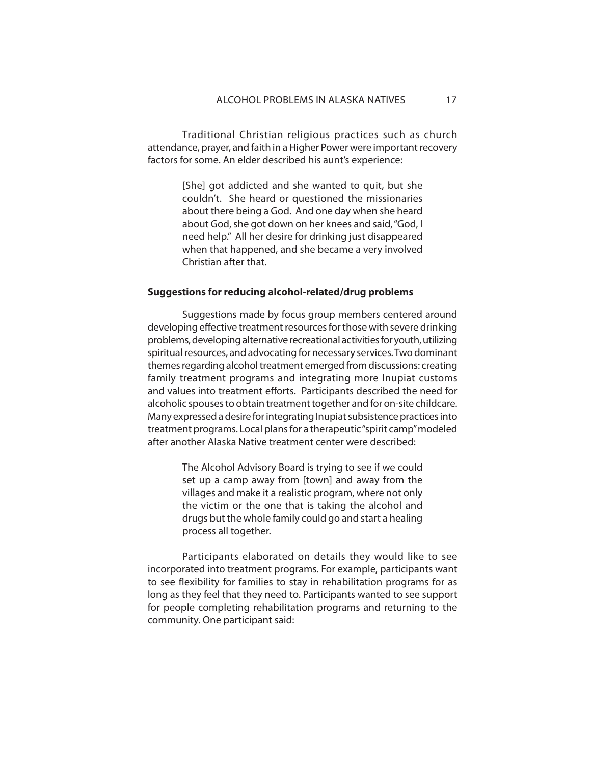Traditional Christian religious practices such as church attendance, prayer, and faith in a Higher Power were important recovery factors for some. An elder described his aunt's experience:

> [She] got addicted and she wanted to quit, but she couldn't. She heard or questioned the missionaries about there being a God. And one day when she heard about God, she got down on her knees and said, "God, I need help." All her desire for drinking just disappeared when that happened, and she became a very involved Christian after that.

## **Suggestions for reducing alcohol-related/drug problems**

Suggestions made by focus group members centered around developing effective treatment resources for those with severe drinking problems, developing alternative recreational activities for youth, utilizing spiritual resources, and advocating for necessary services. Two dominant themes regarding alcohol treatment emerged from discussions: creating family treatment programs and integrating more Inupiat customs and values into treatment efforts. Participants described the need for alcoholic spouses to obtain treatment together and for on-site childcare. Many expressed a desire for integrating Inupiat subsistence practices into treatment programs. Local plans for a therapeutic "spirit camp" modeled after another Alaska Native treatment center were described:

> The Alcohol Advisory Board is trying to see if we could set up a camp away from [town] and away from the villages and make it a realistic program, where not only the victim or the one that is taking the alcohol and drugs but the whole family could go and start a healing process all together.

Participants elaborated on details they would like to see incorporated into treatment programs. For example, participants want to see flexibility for families to stay in rehabilitation programs for as long as they feel that they need to. Participants wanted to see support for people completing rehabilitation programs and returning to the community. One participant said: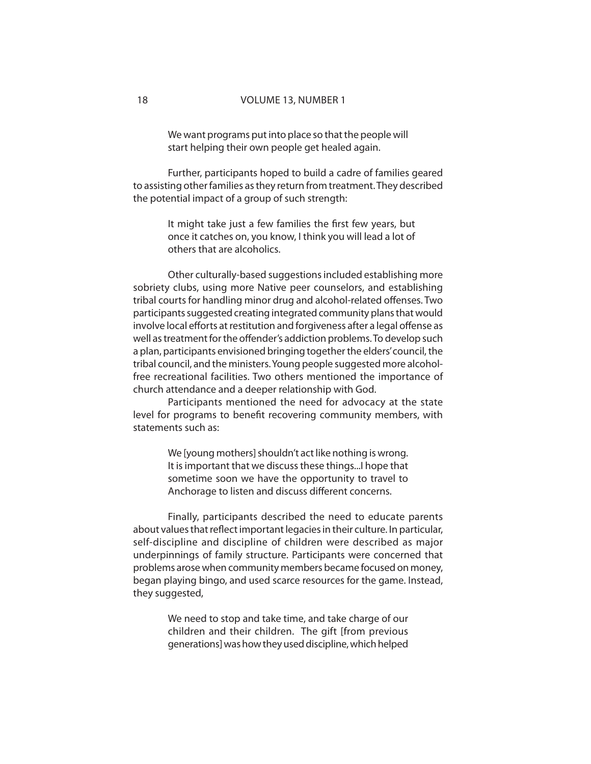We want programs put into place so that the people will start helping their own people get healed again.

Further, participants hoped to build a cadre of families geared to assisting other families as they return from treatment. They described the potential impact of a group of such strength:

> It might take just a few families the first few years, but once it catches on, you know, I think you will lead a lot of others that are alcoholics.

Other culturally-based suggestions included establishing more sobriety clubs, using more Native peer counselors, and establishing tribal courts for handling minor drug and alcohol-related offenses. Two participants suggested creating integrated community plans that would involve local efforts at restitution and forgiveness after a legal offense as well as treatment for the offender's addiction problems. To develop such a plan, participants envisioned bringing together the elders' council, the tribal council, and the ministers. Young people suggested more alcoholfree recreational facilities. Two others mentioned the importance of church attendance and a deeper relationship with God.

Participants mentioned the need for advocacy at the state level for programs to benefit recovering community members, with statements such as:

> We [young mothers] shouldn't act like nothing is wrong. It is important that we discuss these things...I hope that sometime soon we have the opportunity to travel to Anchorage to listen and discuss different concerns.

Finally, participants described the need to educate parents about values that reflect important legacies in their culture. In particular, self-discipline and discipline of children were described as major underpinnings of family structure. Participants were concerned that problems arose when community members became focused on money, began playing bingo, and used scarce resources for the game. Instead, they suggested,

> We need to stop and take time, and take charge of our children and their children. The gift [from previous generations] was how they used discipline, which helped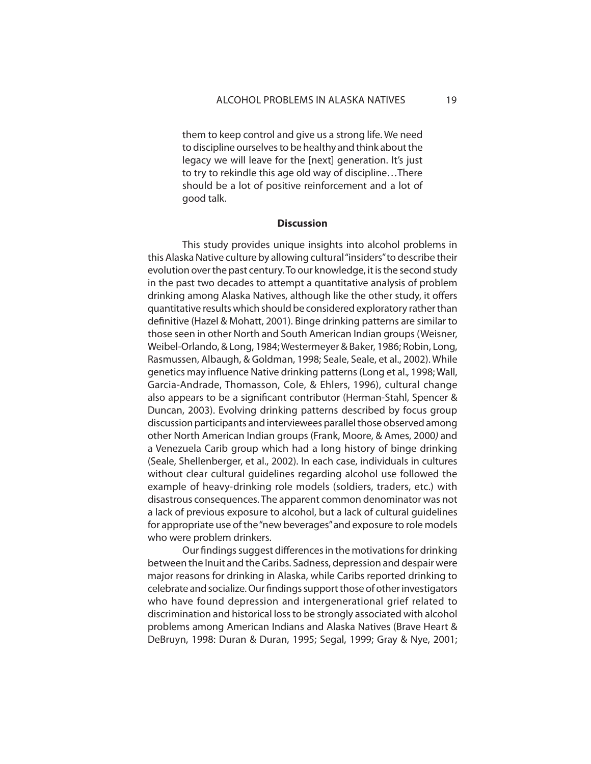them to keep control and give us a strong life. We need to discipline ourselves to be healthy and think about the legacy we will leave for the [next] generation. It's just to try to rekindle this age old way of discipline…There should be a lot of positive reinforcement and a lot of good talk.

#### **Discussion**

This study provides unique insights into alcohol problems in this Alaska Native culture by allowing cultural "insiders" to describe their evolution over the past century. To our knowledge, it is the second study in the past two decades to attempt a quantitative analysis of problem drinking among Alaska Natives, although like the other study, it offers quantitative results which should be considered exploratory rather than definitive (Hazel & Mohatt, 2001). Binge drinking patterns are similar to those seen in other North and South American Indian groups (Weisner, Weibel-Orlando, & Long, 1984; Westermeyer & Baker, 1986; Robin, Long, Rasmussen, Albaugh, & Goldman, 1998; Seale, Seale, et al., 2002). While genetics may influence Native drinking patterns (Long et al., 1998; Wall, Garcia-Andrade, Thomasson, Cole, & Ehlers, 1996), cultural change also appears to be a significant contributor (Herman-Stahl, Spencer & Duncan, 2003). Evolving drinking patterns described by focus group discussion participants and interviewees parallel those observed among other North American Indian groups (Frank, Moore, & Ames, 2000) and a Venezuela Carib group which had a long history of binge drinking (Seale, Shellenberger, et al., 2002). In each case, individuals in cultures without clear cultural guidelines regarding alcohol use followed the example of heavy-drinking role models (soldiers, traders, etc.) with disastrous consequences. The apparent common denominator was not a lack of previous exposure to alcohol, but a lack of cultural guidelines for appropriate use of the "new beverages" and exposure to role models who were problem drinkers.

Our findings suggest differences in the motivations for drinking between the Inuit and the Caribs. Sadness, depression and despair were major reasons for drinking in Alaska, while Caribs reported drinking to celebrate and socialize. Our findings support those of other investigators who have found depression and intergenerational grief related to discrimination and historical loss to be strongly associated with alcohol problems among American Indians and Alaska Natives (Brave Heart & DeBruyn, 1998: Duran & Duran, 1995; Segal, 1999; Gray & Nye, 2001;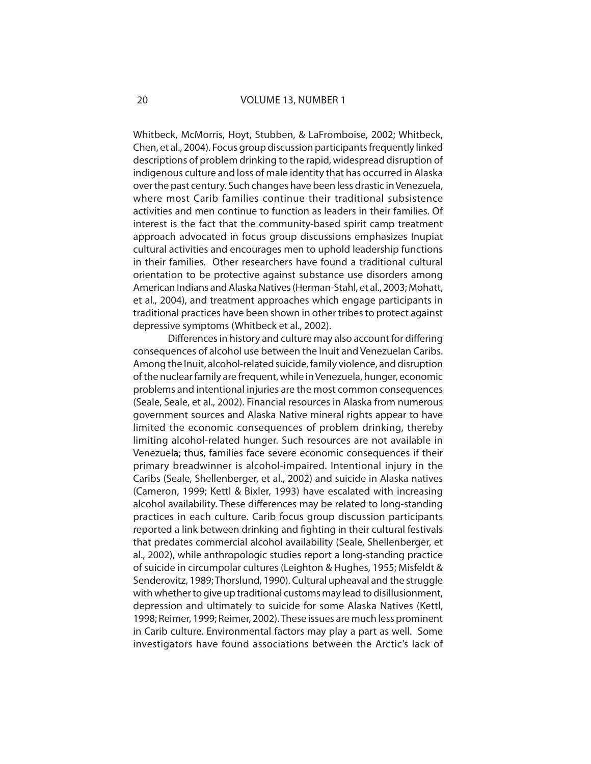#### 20 VOLUME 13, NUMBER 1

Whitbeck, McMorris, Hoyt, Stubben, & LaFromboise, 2002; Whitbeck, Chen, et al., 2004). Focus group discussion participants frequently linked descriptions of problem drinking to the rapid, widespread disruption of indigenous culture and loss of male identity that has occurred in Alaska over the past century. Such changes have been less drastic in Venezuela, where most Carib families continue their traditional subsistence activities and men continue to function as leaders in their families. Of interest is the fact that the community-based spirit camp treatment approach advocated in focus group discussions emphasizes Inupiat cultural activities and encourages men to uphold leadership functions in their families. Other researchers have found a traditional cultural orientation to be protective against substance use disorders among American Indians and Alaska Natives (Herman-Stahl, et al., 2003; Mohatt, et al., 2004), and treatment approaches which engage participants in traditional practices have been shown in other tribes to protect against depressive symptoms (Whitbeck et al., 2002).

Differences in history and culture may also account for differing consequences of alcohol use between the Inuit and Venezuelan Caribs. Among the Inuit, alcohol-related suicide, family violence, and disruption of the nuclear family are frequent, while in Venezuela, hunger, economic problems and intentional injuries are the most common consequences (Seale, Seale, et al., 2002). Financial resources in Alaska from numerous government sources and Alaska Native mineral rights appear to have limited the economic consequences of problem drinking, thereby limiting alcohol-related hunger. Such resources are not available in Venezuela; thus, families face severe economic consequences if their primary breadwinner is alcohol-impaired. Intentional injury in the Caribs (Seale, Shellenberger, et al., 2002) and suicide in Alaska natives (Cameron, 1999; Kettl & Bixler, 1993) have escalated with increasing alcohol availability. These differences may be related to long-standing practices in each culture. Carib focus group discussion participants reported a link between drinking and fighting in their cultural festivals that predates commercial alcohol availability (Seale, Shellenberger, et al., 2002), while anthropologic studies report a long-standing practice of suicide in circumpolar cultures (Leighton & Hughes, 1955; Misfeldt & Senderovitz, 1989; Thorslund, 1990). Cultural upheaval and the struggle with whether to give up traditional customs may lead to disillusionment, depression and ultimately to suicide for some Alaska Natives (Kettl, 1998; Reimer, 1999; Reimer, 2002). These issues are much less prominent in Carib culture. Environmental factors may play a part as well. Some investigators have found associations between the Arctic's lack of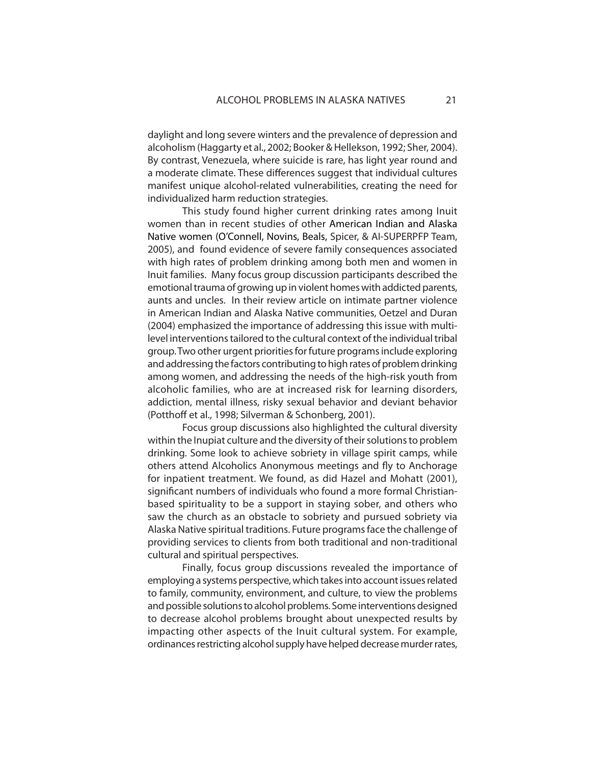daylight and long severe winters and the prevalence of depression and alcoholism (Haggarty et al., 2002; Booker & Hellekson, 1992; Sher, 2004). By contrast, Venezuela, where suicide is rare, has light year round and a moderate climate. These differences suggest that individual cultures manifest unique alcohol-related vulnerabilities, creating the need for individualized harm reduction strategies.

This study found higher current drinking rates among Inuit women than in recent studies of other American Indian and Alaska Native women (O'Connell, Novins, Beals, Spicer, & AI-SUPERPFP Team, 2005), and found evidence of severe family consequences associated with high rates of problem drinking among both men and women in Inuit families. Many focus group discussion participants described the emotional trauma of growing up in violent homes with addicted parents, aunts and uncles. In their review article on intimate partner violence in American Indian and Alaska Native communities, Oetzel and Duran (2004) emphasized the importance of addressing this issue with multilevel interventions tailored to the cultural context of the individual tribal group. Two other urgent priorities for future programs include exploring and addressing the factors contributing to high rates of problem drinking among women, and addressing the needs of the high-risk youth from alcoholic families, who are at increased risk for learning disorders, addiction, mental illness, risky sexual behavior and deviant behavior (Potthoff et al., 1998; Silverman & Schonberg, 2001).

Focus group discussions also highlighted the cultural diversity within the Inupiat culture and the diversity of their solutions to problem drinking. Some look to achieve sobriety in village spirit camps, while others attend Alcoholics Anonymous meetings and fly to Anchorage for inpatient treatment. We found, as did Hazel and Mohatt (2001), significant numbers of individuals who found a more formal Christianbased spirituality to be a support in staying sober, and others who saw the church as an obstacle to sobriety and pursued sobriety via Alaska Native spiritual traditions. Future programs face the challenge of providing services to clients from both traditional and non-traditional cultural and spiritual perspectives.

Finally, focus group discussions revealed the importance of employing a systems perspective, which takes into account issues related to family, community, environment, and culture, to view the problems and possible solutions to alcohol problems. Some interventions designed to decrease alcohol problems brought about unexpected results by impacting other aspects of the Inuit cultural system. For example, ordinances restricting alcohol supply have helped decrease murder rates,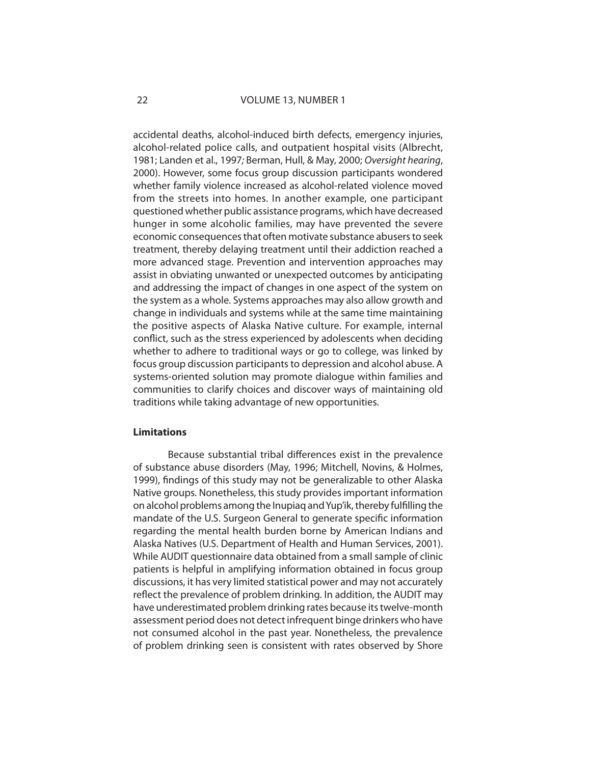#### 22 VOLUME 13, NUMBER 1

accidental deaths, alcohol-induced birth defects, emergency injuries, alcohol-related police calls, and outpatient hospital visits (Albrecht, 1981; Landen et al., 1997; Berman, Hull, & May, 2000; Oversight hearing, 2000). However, some focus group discussion participants wondered whether family violence increased as alcohol-related violence moved from the streets into homes. In another example, one participant questioned whether public assistance programs, which have decreased hunger in some alcoholic families, may have prevented the severe economic consequences that often motivate substance abusers to seek treatment, thereby delaying treatment until their addiction reached a more advanced stage. Prevention and intervention approaches may assist in obviating unwanted or unexpected outcomes by anticipating and addressing the impact of changes in one aspect of the system on the system as a whole. Systems approaches may also allow growth and change in individuals and systems while at the same time maintaining the positive aspects of Alaska Native culture. For example, internal conflict, such as the stress experienced by adolescents when deciding whether to adhere to traditional ways or go to college, was linked by focus group discussion participants to depression and alcohol abuse. A systems-oriented solution may promote dialogue within families and communities to clarify choices and discover ways of maintaining old traditions while taking advantage of new opportunities.

## **Limitations**

Because substantial tribal differences exist in the prevalence of substance abuse disorders (May, 1996; Mitchell, Novins, & Holmes, 1999), findings of this study may not be generalizable to other Alaska Native groups. Nonetheless, this study provides important information on alcohol problems among the Inupiag and Yup'ik, thereby fulfilling the mandate of the U.S. Surgeon General to generate specific information regarding the mental health burden borne by American Indians and Alaska Natives (U.S. Department of Health and Human Services, 2001). While AUDIT questionnaire data obtained from a small sample of clinic patients is helpful in amplifying information obtained in focus group discussions, it has very limited statistical power and may not accurately reflect the prevalence of problem drinking. In addition, the AUDIT may have underestimated problem drinking rates because its twelve-month assessment period does not detect infrequent binge drinkers who have not consumed alcohol in the past year. Nonetheless, the prevalence of problem drinking seen is consistent with rates observed by Shore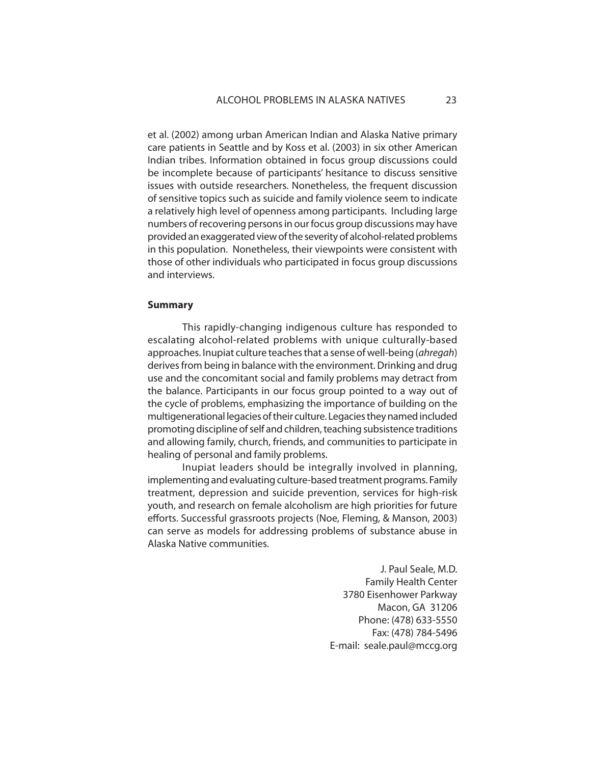et al. (2002) among urban American Indian and Alaska Native primary care patients in Seattle and by Koss et al. (2003) in six other American Indian tribes. Information obtained in focus group discussions could be incomplete because of participants' hesitance to discuss sensitive issues with outside researchers. Nonetheless, the frequent discussion of sensitive topics such as suicide and family violence seem to indicate a relatively high level of openness among participants. Including large numbers of recovering persons in our focus group discussions may have provided an exaggerated view of the severity of alcohol-related problems in this population. Nonetheless, their viewpoints were consistent with those of other individuals who participated in focus group discussions and interviews.

## **Summary**

This rapidly-changing indigenous culture has responded to escalating alcohol-related problems with unique culturally-based approaches. Inupiat culture teaches that a sense of well-being (ahregah) derives from being in balance with the environment. Drinking and drug use and the concomitant social and family problems may detract from the balance. Participants in our focus group pointed to a way out of the cycle of problems, emphasizing the importance of building on the multigenerational legacies of their culture. Legacies they named included promoting discipline of self and children, teaching subsistence traditions and allowing family, church, friends, and communities to participate in healing of personal and family problems.

Inupiat leaders should be integrally involved in planning, implementing and evaluating culture-based treatment programs. Family treatment, depression and suicide prevention, services for high-risk youth, and research on female alcoholism are high priorities for future efforts. Successful grassroots projects (Noe, Fleming, & Manson, 2003) can serve as models for addressing problems of substance abuse in Alaska Native communities.

> J. Paul Seale, M.D. Family Health Center 3780 Eisenhower Parkway Macon, GA 31206 Phone: (478) 633-5550 Fax: (478) 784-5496 E-mail: seale.paul@mccg.org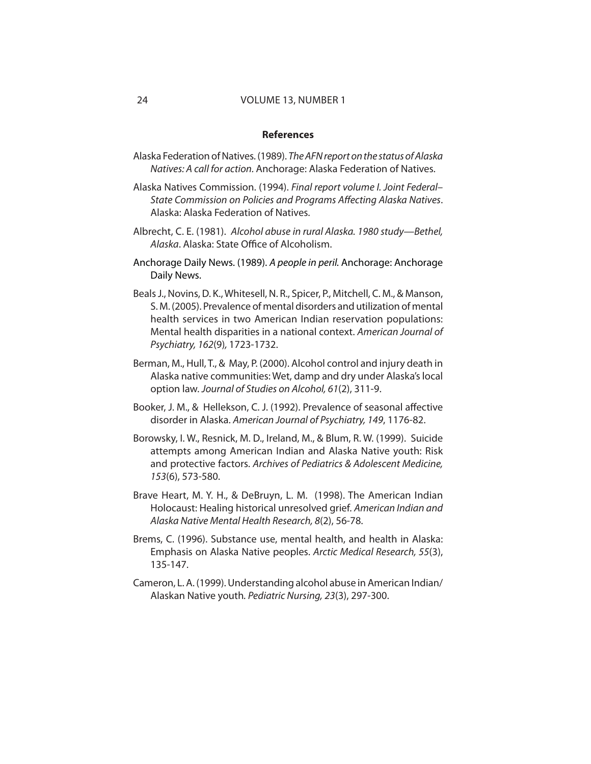#### 24 VOLUME 13, NUMBER 1

#### **References**

- Alaska Federation of Natives. (1989). The AFN report on the status of Alaska Natives: A call for action. Anchorage: Alaska Federation of Natives.
- Alaska Natives Commission. (1994). Final report volume I. Joint Federal– State Commission on Policies and Programs Affecting Alaska Natives. Alaska: Alaska Federation of Natives.
- Albrecht, C. E. (1981). Alcohol abuse in rural Alaska. 1980 study—Bethel, Alaska. Alaska: State Office of Alcoholism.
- Anchorage Daily News. (1989). A people in peril. Anchorage: Anchorage Daily News.
- Beals J., Novins, D. K., Whitesell, N. R., Spicer, P., Mitchell, C. M., & Manson, S. M. (2005). Prevalence of mental disorders and utilization of mental health services in two American Indian reservation populations: Mental health disparities in a national context. American Journal of Psychiatry, 162(9), 1723-1732.
- Berman, M., Hull, T., & May, P. (2000). Alcohol control and injury death in Alaska native communities: Wet, damp and dry under Alaska's local option law. Journal of Studies on Alcohol, 61(2), 311-9.
- Booker, J. M., & Hellekson, C. J. (1992). Prevalence of seasonal affective disorder in Alaska. American Journal of Psychiatry, 149, 1176-82.
- Borowsky, I. W., Resnick, M. D., Ireland, M., & Blum, R. W. (1999). Suicide attempts among American Indian and Alaska Native youth: Risk and protective factors. Archives of Pediatrics & Adolescent Medicine, 153(6), 573-580.
- Brave Heart, M. Y. H., & DeBruyn, L. M. (1998). The American Indian Holocaust: Healing historical unresolved grief. American Indian and Alaska Native Mental Health Research, 8(2), 56-78.
- Brems, C. (1996). Substance use, mental health, and health in Alaska: Emphasis on Alaska Native peoples. Arctic Medical Research, 55(3), 135-147.
- Cameron, L. A. (1999). Understanding alcohol abuse in American Indian/ Alaskan Native youth. Pediatric Nursing, 23(3), 297-300.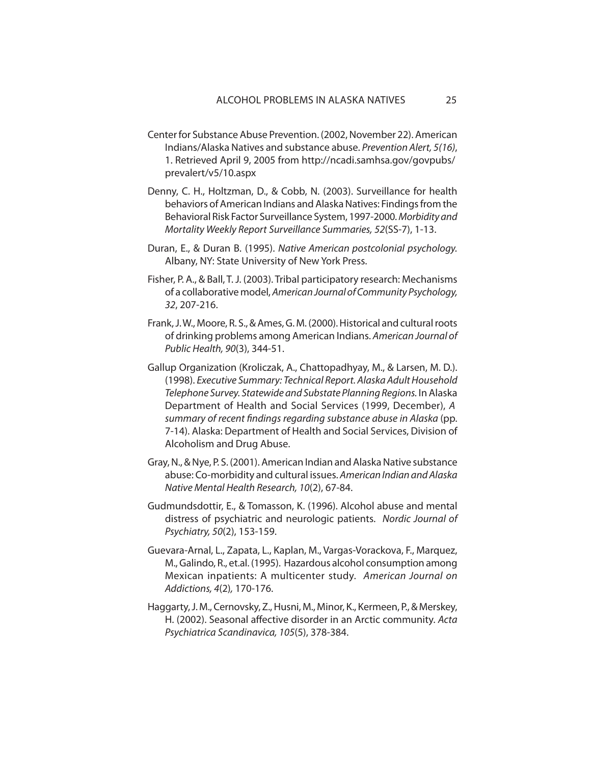- Center for Substance Abuse Prevention. (2002, November 22). American Indians/Alaska Natives and substance abuse. Prevention Alert, 5(16), 1. Retrieved April 9, 2005 from [http://ncadi.samhsa.gov/govpubs/](http://ncadi.samhsa.gov/govpubs/prevalert/v5/10.aspx) [prevalert/v5/10.aspx](http://ncadi.samhsa.gov/govpubs/prevalert/v5/10.aspx)
- Denny, C. H., Holtzman, D., & Cobb, N. (2003). Surveillance for health behaviors of American Indians and Alaska Natives: Findings from the Behavioral Risk Factor Surveillance System, 1997-2000. Morbidity and Mortality Weekly Report Surveillance Summaries, 52(SS-7), 1-13.
- Duran, E., & Duran B. (1995). Native American postcolonial psychology. Albany, NY: State University of New York Press.
- Fisher, P. A., & Ball, T. J. (2003). Tribal participatory research: Mechanisms of a collaborative model, American Journal of Community Psychology, 32, 207-216.
- Frank, J. W., Moore, R. S., & Ames, G. M. (2000). Historical and cultural roots of drinking problems among American Indians. American Journal of Public Health, 90(3), 344-51.
- Gallup Organization (Kroliczak, A., Chattopadhyay, M., & Larsen, M. D.). (1998). Executive Summary: Technical Report. Alaska Adult Household Telephone Survey. Statewide and Substate Planning Regions. In Alaska Department of Health and Social Services (1999, December), A summary of recent findings regarding substance abuse in Alaska (pp. 7-14). Alaska: Department of Health and Social Services, Division of Alcoholism and Drug Abuse.
- Gray, N., & Nye, P. S. (2001). American Indian and Alaska Native substance abuse: Co-morbidity and cultural issues. American Indian and Alaska Native Mental Health Research, 10(2), 67-84.
- Gudmundsdottir, E., & Tomasson, K. (1996). Alcohol abuse and mental distress of psychiatric and neurologic patients. Nordic Journal of Psychiatry, 50(2), 153-159.
- Guevara-Arnal, L., Zapata, L., Kaplan, M., Vargas-Vorackova, F., Marquez, M., Galindo, R., et.al. (1995). Hazardous alcohol consumption among Mexican inpatients: A multicenter study. American Journal on Addictions, 4(2), 170-176.
- Haggarty, J. M., Cernovsky, Z., Husni, M., Minor, K., Kermeen, P., & Merskey, H. (2002). Seasonal affective disorder in an Arctic community. Acta Psychiatrica Scandinavica, 105(5), 378-384.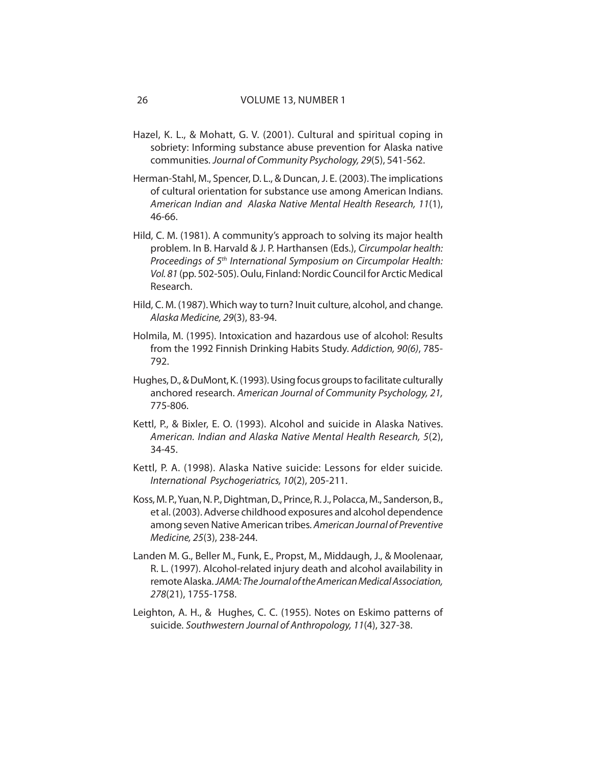- Hazel, K. L., & Mohatt, G. V. (2001). Cultural and spiritual coping in sobriety: Informing substance abuse prevention for Alaska native communities. Journal of Community Psychology, 29(5), 541-562.
- Herman-Stahl, M., Spencer, D. L., & Duncan, J. E. (2003). The implications of cultural orientation for substance use among American Indians. American Indian and Alaska Native Mental Health Research, 11(1), 46-66.
- Hild, C. M. (1981). A community's approach to solving its major health problem. In B. Harvald & J. P. Harthansen (Eds.), Circumpolar health: Proceedings of 5<sup>th</sup> International Symposium on Circumpolar Health: Vol. 81 (pp. 502-505). Oulu, Finland: Nordic Council for Arctic Medical Research.
- Hild, C. M. (1987). Which way to turn? Inuit culture, alcohol, and change. Alaska Medicine, 29(3), 83-94.
- Holmila, M. (1995). Intoxication and hazardous use of alcohol: Results from the 1992 Finnish Drinking Habits Study. Addiction, 90(6), 785- 792.
- Hughes, D., & DuMont, K. (1993). Using focus groups to facilitate culturally anchored research. American Journal of Community Psychology, 21, 775-806.
- Kettl, P., & Bixler, E. O. (1993). Alcohol and suicide in Alaska Natives. American. Indian and Alaska Native Mental Health Research, 5(2), 34-45.
- Kettl, P. A. (1998). Alaska Native suicide: Lessons for elder suicide. International Psychogeriatrics, 10(2), 205-211.
- Koss, M. P., Yuan, N. P., Dightman, D., Prince, R. J., Polacca, M., Sanderson, B., et al. (2003). Adverse childhood exposures and alcohol dependence among seven Native American tribes. American Journal of Preventive Medicine, 25(3), 238-244.
- Landen M. G., Beller M., Funk, E., Propst, M., Middaugh, J., & Moolenaar, R. L. (1997). Alcohol-related injury death and alcohol availability in remote Alaska. JAMA: The Journal of the American Medical Association, 278(21), 1755-1758.
- Leighton, A. H., & Hughes, C. C. (1955). Notes on Eskimo patterns of suicide. Southwestern Journal of Anthropology, 11(4), 327-38.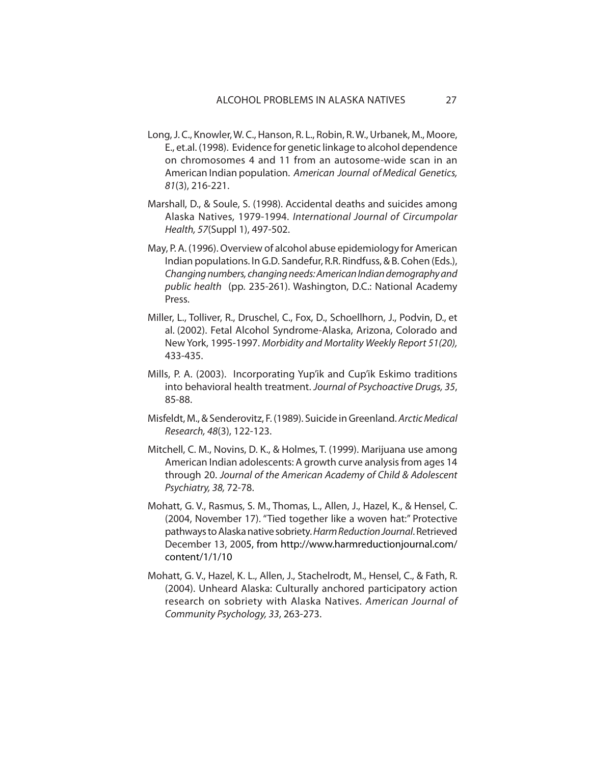- Long, J. C., Knowler, W. C., Hanson, R. L., Robin, R. W., Urbanek, M., Moore, E., et.al. (1998). Evidence for genetic linkage to alcohol dependence on chromosomes 4 and 11 from an autosome-wide scan in an American Indian population. American Journal of Medical Genetics, 81(3), 216-221.
- Marshall, D., & Soule, S. (1998). Accidental deaths and suicides among Alaska Natives, 1979-1994. International Journal of Circumpolar Health, 57(Suppl 1), 497-502.
- May, P. A. (1996). Overview of alcohol abuse epidemiology for American Indian populations. In G.D. Sandefur, R.R. Rindfuss, & B. Cohen (Eds.), Changing numbers, changing needs: American Indian demography and public health (pp. 235-261). Washington, D.C.: National Academy Press.
- Miller, L., Tolliver, R., Druschel, C., Fox, D., Schoellhorn, J., Podvin, D., et al. (2002). Fetal Alcohol Syndrome-Alaska, Arizona, Colorado and New York, 1995-1997. Morbidity and Mortality Weekly Report 51(20), 433-435.
- Mills, P. A. (2003). Incorporating Yup'ik and Cup'ik Eskimo traditions into behavioral health treatment. Journal of Psychoactive Drugs, 35, 85-88.
- Misfeldt, M., & Senderovitz, F. (1989). Suicide in Greenland. Arctic Medical Research, 48(3), 122-123.
- Mitchell, C. M., Novins, D. K., & Holmes, T. (1999). Marijuana use among American Indian adolescents: A growth curve analysis from ages 14 through 20. Journal of the American Academy of Child & Adolescent Psychiatry, 38, 72-78.
- Mohatt, G. V., Rasmus, S. M., Thomas, L., Allen, J., Hazel, K., & Hensel, C. (2004, November 17). "Tied together like a woven hat:" Protective pathways to Alaska native sobriety. Harm Reduction Journal. Retrieved December 13, 2005, from [http://www.harmreductionjournal.com/](http://www.harmreductionjournal.com/content/1/1/10) [content/1/1/10](http://www.harmreductionjournal.com/content/1/1/10)
- Mohatt, G. V., Hazel, K. L., Allen, J., Stachelrodt, M., Hensel, C., & Fath, R. (2004). Unheard Alaska: Culturally anchored participatory action research on sobriety with Alaska Natives. American Journal of Community Psychology, 33, 263-273.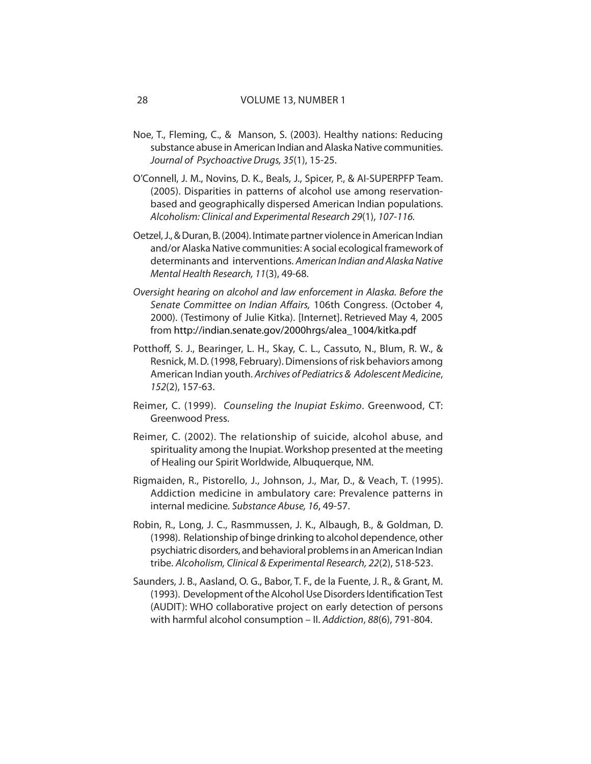- Noe, T., Fleming, C., & Manson, S. (2003). Healthy nations: Reducing substance abuse in American Indian and Alaska Native communities. Journal of Psychoactive Drugs, 35(1), 15-25.
- O'Connell, J. M., Novins, D. K., Beals, J., Spicer, P., & AI-SUPERPFP Team. (2005). Disparities in patterns of alcohol use among reservationbased and geographically dispersed American Indian populations. Alcoholism: Clinical and Experimental Research 29(1), 107-116.
- Oetzel, J., & Duran, B. (2004). Intimate partner violence in American Indian and/or Alaska Native communities: A social ecological framework of determinants and interventions. American Indian and Alaska Native Mental Health Research, 11(3), 49-68.
- Oversight hearing on alcohol and law enforcement in Alaska. Before the Senate Committee on Indian Affairs, 106th Congress. (October 4, 2000). (Testimony of Julie Kitka). [Internet]. Retrieved May 4, 2005 from [http://indian.senate.gov/2000hrgs/alea\\_1004/kit](http://indian.senate.gov/2000hrgs/alea_1004/kitka.pdf)ka.pdf
- Potthoff, S. J., Bearinger, L. H., Skay, C. L., Cassuto, N., Blum, R. W., & Resnick, M. D. (1998, February). Dimensions of risk behaviors among American Indian youth. Archives of Pediatrics & Adolescent Medicine, 152(2), 157-63.
- Reimer, C. (1999). Counseling the Inupiat Eskimo. Greenwood, CT: Greenwood Press.
- Reimer, C. (2002). The relationship of suicide, alcohol abuse, and spirituality among the Inupiat. Workshop presented at the meeting of Healing our Spirit Worldwide, Albuquerque, NM.
- Rigmaiden, R., Pistorello, J., Johnson, J., Mar, D., & Veach, T. (1995). Addiction medicine in ambulatory care: Prevalence patterns in internal medicine. Substance Abuse, 16, 49-57.
- Robin, R., Long, J. C., Rasmmussen, J. K., Albaugh, B., & Goldman, D. (1998). Relationship of binge drinking to alcohol dependence, other psychiatric disorders, and behavioral problems in an American Indian tribe. Alcoholism, Clinical & Experimental Research, 22(2), 518-523.
- Saunders, J. B., Aasland, O. G., Babor, T. F., de la Fuente, J. R., & Grant, M. (1993). Development of the Alcohol Use Disorders Identification Test (AUDIT): WHO collaborative project on early detection of persons with harmful alcohol consumption – II. Addiction, 88(6), 791-804.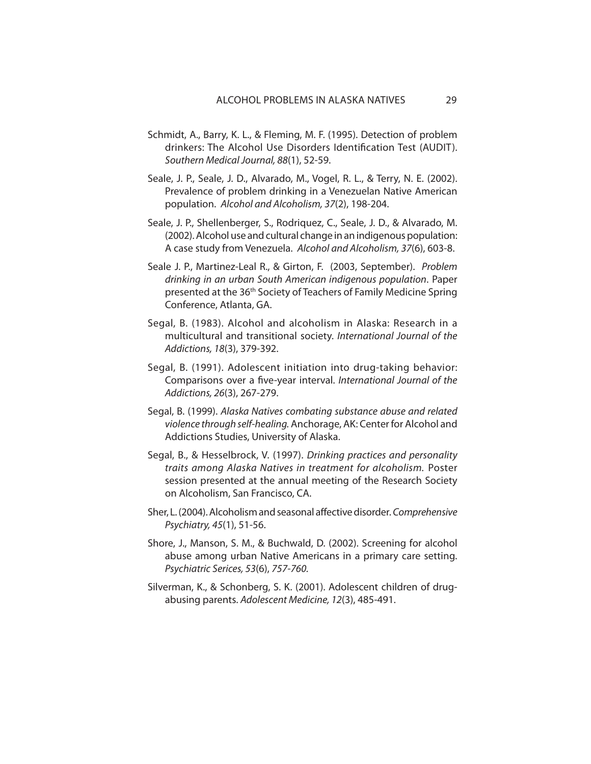- Schmidt, A., Barry, K. L., & Fleming, M. F. (1995). Detection of problem drinkers: The Alcohol Use Disorders Identification Test (AUDIT). Southern Medical Journal, 88(1), 52-59.
- Seale, J. P., Seale, J. D., Alvarado, M., Vogel, R. L., & Terry, N. E. (2002). Prevalence of problem drinking in a Venezuelan Native American population. Alcohol and Alcoholism, 37(2), 198-204.
- Seale, J. P., Shellenberger, S., Rodriquez, C., Seale, J. D., & Alvarado, M. (2002). Alcohol use and cultural change in an indigenous population: A case study from Venezuela. Alcohol and Alcoholism, 37(6), 603-8.
- Seale J. P., Martinez-Leal R., & Girton, F. (2003, September). Problem drinking in an urban South American indigenous population. Paper presented at the 36<sup>th</sup> Society of Teachers of Family Medicine Spring Conference, Atlanta, GA.
- Segal, B. (1983). Alcohol and alcoholism in Alaska: Research in a multicultural and transitional society. International Journal of the Addictions, 18(3), 379-392.
- Segal, B. (1991). Adolescent initiation into drug-taking behavior: Comparisons over a five-year interval. International Journal of the Addictions, 26(3), 267-279.
- Segal, B. (1999). Alaska Natives combating substance abuse and related violence through self-healing. Anchorage, AK: Center for Alcohol and Addictions Studies, University of Alaska.
- Segal, B., & Hesselbrock, V. (1997). Drinking practices and personality traits among Alaska Natives in treatment for alcoholism. Poster session presented at the annual meeting of the Research Society on Alcoholism, San Francisco, CA.
- Sher, L. (2004). Alcoholism and seasonal affective disorder. Comprehensive Psychiatry, 45(1), 51-56.
- Shore, J., Manson, S. M., & Buchwald, D. (2002). Screening for alcohol abuse among urban Native Americans in a primary care setting. Psychiatric Serices, 53(6), 757-760.
- Silverman, K., & Schonberg, S. K. (2001). Adolescent children of drugabusing parents. Adolescent Medicine, 12(3), 485-491.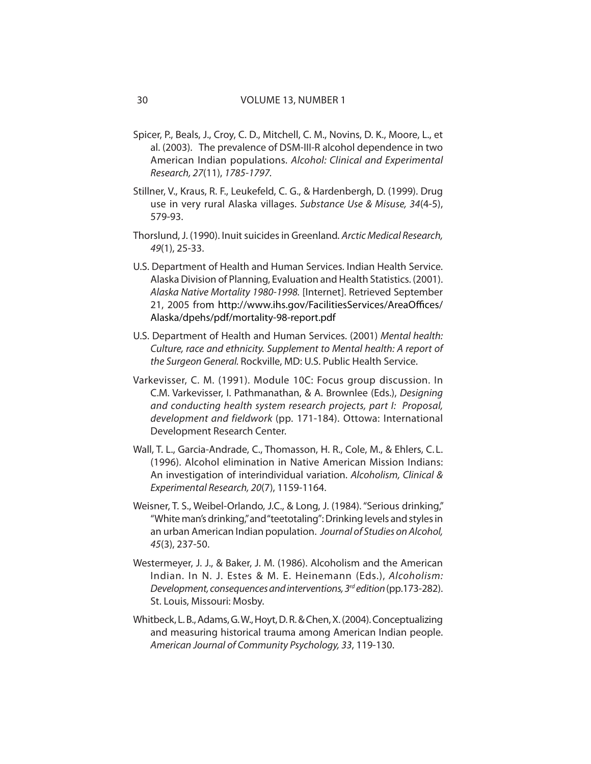#### 30 VOLUME 13, NUMBER 1

- Spicer, P., Beals, J., Croy, C. D., Mitchell, C. M., Novins, D. K., Moore, L., et al. (2003). The prevalence of DSM-III-R alcohol dependence in two American Indian populations. Alcohol: Clinical and Experimental Research, 27(11), 1785-1797.
- Stillner, V., Kraus, R. F., Leukefeld, C. G., & Hardenbergh, D. (1999). Drug use in very rural Alaska villages. Substance Use & Misuse, 34(4-5), 579-93.
- Thorslund, J. (1990). Inuit suicides in Greenland. Arctic Medical Research, 49(1), 25-33.
- U.S. Department of Health and Human Services. Indian Health Service. Alaska Division of Planning, Evaluation and Health Statistics. (2001). Alaska Native Mortality 1980-1998. [Internet]. Retrieved September 21, 2005 from http://www.ihs.gov/FacilitiesServices/AreaOffices/ [Alaska/dpehs/pdf/mortality-98-report.pdf](http://www.ihs.gov/FacilitiesServices/AreaOffices/Alaska/dpehs/pdf/mortality-98-report.pdf)
- U.S. Department of Health and Human Services. (2001) Mental health: Culture, race and ethnicity. Supplement to Mental health: A report of the Surgeon General. Rockville, MD: U.S. Public Health Service.
- Varkevisser, C. M. (1991). Module 10C: Focus group discussion. In C.M. Varkevisser, I. Pathmanathan, & A. Brownlee (Eds.), Designing and conducting health system research projects, part I: Proposal, development and fieldwork (pp. 171-184). Ottowa: International Development Research Center.
- Wall, T. L., Garcia-Andrade, C., Thomasson, H. R., Cole, M., & Ehlers, C. L. (1996). Alcohol elimination in Native American Mission Indians: An investigation of interindividual variation. Alcoholism, Clinical & Experimental Research, 20(7), 1159-1164.
- Weisner, T. S., Weibel-Orlando, J.C., & Long, J. (1984). "Serious drinking," "White man's drinking," and "teetotaling": Drinking levels and styles in an urban American Indian population. Journal of Studies on Alcohol, 45(3), 237-50.
- Westermeyer, J. J., & Baker, J. M. (1986). Alcoholism and the American Indian. In N. J. Estes & M. E. Heinemann (Eds.), Alcoholism: Development, consequences and interventions, 3<sup>rd</sup> edition (pp.173-282). St. Louis, Missouri: Mosby.
- Whitbeck, L. B., Adams, G. W., Hoyt, D. R. & Chen, X. (2004). Conceptualizing and measuring historical trauma among American Indian people. American Journal of Community Psychology, 33, 119-130.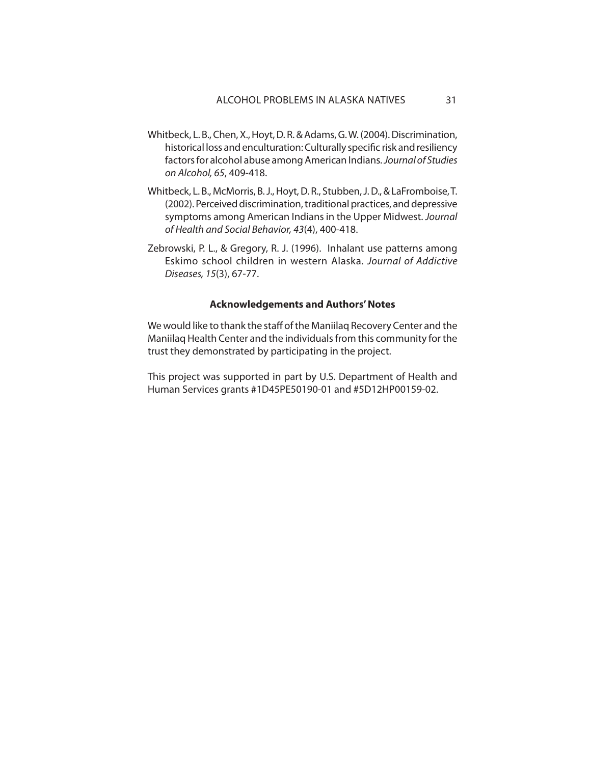- Whitbeck, L. B., Chen, X., Hoyt, D. R. & Adams, G. W. (2004). Discrimination, historical loss and enculturation: Culturally specific risk and resiliency factors for alcohol abuse among American Indians. Journal of Studies on Alcohol, 65, 409-418.
- Whitbeck, L. B., McMorris, B. J., Hoyt, D. R., Stubben, J. D., & LaFromboise, T. (2002). Perceived discrimination, traditional practices, and depressive symptoms among American Indians in the Upper Midwest. Journal of Health and Social Behavior, 43(4), 400-418.
- Zebrowski, P. L., & Gregory, R. J. (1996). Inhalant use patterns among Eskimo school children in western Alaska. Journal of Addictive Diseases, 15(3), 67-77.

## **Acknowledgements and Authors' Notes**

We would like to thank the staff of the Maniilaq Recovery Center and the Maniilaq Health Center and the individuals from this community for the trust they demonstrated by participating in the project.

This project was supported in part by U.S. Department of Health and Human Services grants #1D45PE50190-01 and #5D12HP00159-02.